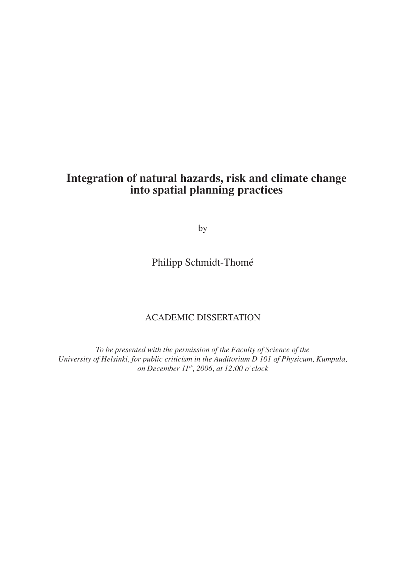# **Integration of natural hazards, risk and climate change into spatial planning practices**

by

Philipp Schmidt-Thomé

## AcAdemic diSSerTATion

*To be presented with the permission of the Faculty of Science of the University of Helsinki, for public criticism in the Auditorium D 101 of Physicum, Kumpula, on December 11 th, 2006, at 12:00 o'clock*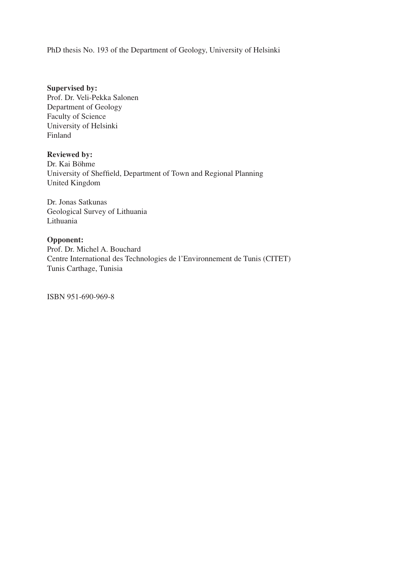PhD thesis No. 193 of the Department of Geology, University of Helsinki

**Supervised by:** Prof. Dr. Veli-Pekka Salonen Department of Geology Faculty of Science University of Helsinki Finland

## **Reviewed by:**

Dr. Kai Böhme University of Sheffield, Department of Town and Regional Planning United Kingdom

Dr. Jonas Satkunas Geological Survey of Lithuania Lithuania

## **Opponent:**

Prof. Dr. Michel A. Bouchard Centre International des Technologies de l'Environnement de Tunis (CITET) Tunis carthage, Tunisia

iSBn 951-690-969-8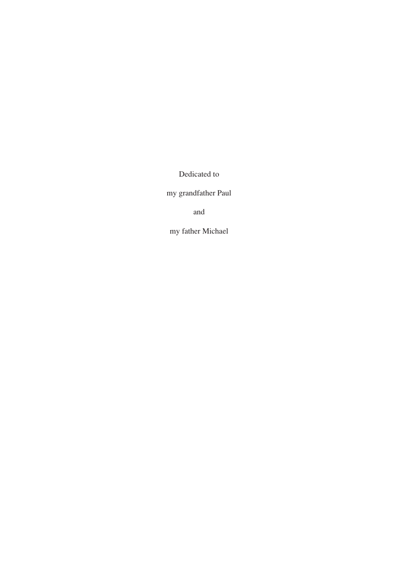Dedicated to

my grandfather Paul

and

my father michael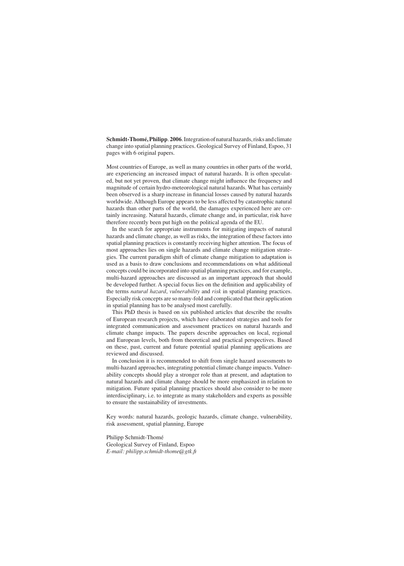Schmidt-Thomé, Philipp. 2006. Integration of natural hazards, risks and climate change into spatial planning practices. Geological Survey of Finland, Espoo, 31 pages with 6 original papers.

Most countries of Europe, as well as many countries in other parts of the world, are experiencing an increased impact of natural hazards. it is often speculated, but not yet proven, that climate change might influence the frequency and magnitude of certain hydro-meteorological natural hazards. What has certainly been observed is a sharp increase in financial losses caused by natural hazards worldwide. Although Europe appears to be less affected by catastrophic natural hazards than other parts of the world, the damages experienced here are certainly increasing. Natural hazards, climate change and, in particular, risk have therefore recently been put high on the political agenda of the EU.

In the search for appropriate instruments for mitigating impacts of natural hazards and climate change, as well as risks, the integration of these factors into spatial planning practices is constantly receiving higher attention. The focus of most approaches lies on single hazards and climate change mitigation strategies. The current paradigm shift of climate change mitigation to adaptation is used as a basis to draw conclusions and recommendations on what additional concepts could be incorporated into spatial planning practices, and for example, multi-hazard approaches are discussed as an important approach that should be developed further. A special focus lies on the definition and applicability of the terms *natural hazard*, *vulnerability* and *risk* in spatial planning practices. Especially risk concepts are so many-fold and complicated that their application in spatial planning has to be analysed most carefully.

This PhD thesis is based on six published articles that describe the results of European research projects, which have elaborated strategies and tools for integrated communication and assessment practices on natural hazards and climate change impacts. The papers describe approaches on local, regional and European levels, both from theoretical and practical perspectives. Based on these, past, current and future potential spatial planning applications are reviewed and discussed.

In conclusion it is recommended to shift from single hazard assessments to multi-hazard approaches, integrating potential climate change impacts. Vulnerability concepts should play a stronger role than at present, and adaptation to natural hazards and climate change should be more emphasized in relation to mitigation. Future spatial planning practices should also consider to be more interdisciplinary, i.e. to integrate as many stakeholders and experts as possible to ensure the sustainability of investments.

Key words: natural hazards, geologic hazards, climate change, vulnerability, risk assessment, spatial planning, Europe

Philipp Schmidt-Thomé Geological Survey of Finland, Espoo *E-mail: philipp.schmidt-thome@gtk.fi*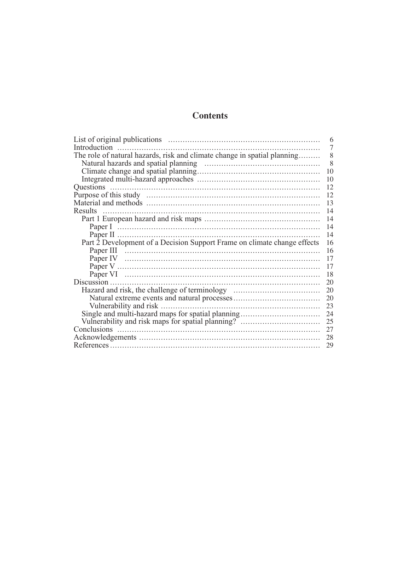## **Contents**

| Introduction<br>7                                                              |  |  |  |
|--------------------------------------------------------------------------------|--|--|--|
| The role of natural hazards, risk and climate change in spatial planning<br>8  |  |  |  |
| 8                                                                              |  |  |  |
| 10                                                                             |  |  |  |
| 10                                                                             |  |  |  |
| 12                                                                             |  |  |  |
| 12                                                                             |  |  |  |
| 13                                                                             |  |  |  |
| Results<br>14                                                                  |  |  |  |
| 14                                                                             |  |  |  |
| 14                                                                             |  |  |  |
| 14                                                                             |  |  |  |
| Part 2 Development of a Decision Support Frame on climate change effects<br>16 |  |  |  |
| 16                                                                             |  |  |  |
| 17                                                                             |  |  |  |
| 17                                                                             |  |  |  |
| 18                                                                             |  |  |  |
| 20                                                                             |  |  |  |
| Hazard and risk, the challenge of terminology<br>20                            |  |  |  |
| 20                                                                             |  |  |  |
| 23                                                                             |  |  |  |
| Single and multi-hazard maps for spatial planning<br>24                        |  |  |  |
| Vulnerability and risk maps for spatial planning?<br>25                        |  |  |  |
| 27                                                                             |  |  |  |
| 28                                                                             |  |  |  |
| 29                                                                             |  |  |  |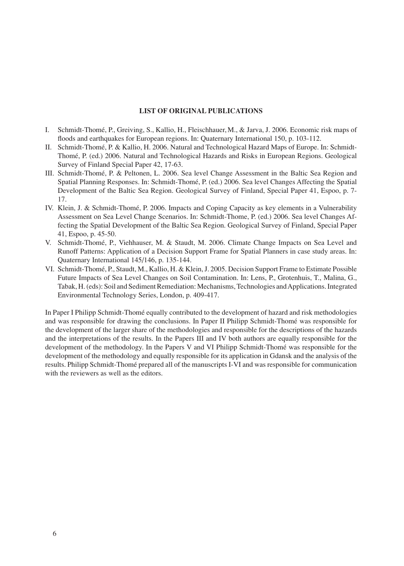### **LIST Of ORIgInaL PubLICaTIOnS**

- I. Schmidt-Thomé, P., Greiving, S., Kallio, H., Fleischhauer, M., & Jarva, J. 2006. Economic risk maps of floods and earthquakes for European regions. In: Quaternary International 150, p. 103-112.
- II. Schmidt-Thomé, P. & Kallio, H. 2006. Natural and Technological Hazard Maps of Europe. In: Schmidt-Thomé, P. (ed.) 2006. Natural and Technological Hazards and Risks in European Regions. Geological Survey of Finland Special Paper 42, 17-63.
- III. Schmidt-Thomé, P. & Peltonen, L. 2006. Sea level Change Assessment in the Baltic Sea Region and Spatial Planning Responses. In: Schmidt-Thomé, P. (ed.) 2006. Sea level Changes Affecting the Spatial Development of the Baltic Sea Region. Geological Survey of Finland, Special Paper 41, Espoo, p. 7-17.
- IV. Klein, J. & Schmidt-Thomé, P. 2006. Impacts and Coping Capacity as key elements in a Vulnerability Assessment on Sea Level change Scenarios. in: Schmidt-Thome, P. (ed.) 2006. Sea level changes Affecting the Spatial Development of the Baltic Sea Region. Geological Survey of Finland, Special Paper 41, espoo, p. 45-50.
- V. Schmidt-Thomé, P., Viehhauser, m. & Staudt, m. 2006. climate change impacts on Sea Level and Runoff Patterns: Application of a Decision Support Frame for Spatial Planners in case study areas. In: Quaternary international 145/146, p. 135-144.
- VI. Schmidt-Thomé, P., Staudt, M., Kallio, H. & Klein, J. 2005. Decision Support Frame to Estimate Possible Future Impacts of Sea Level Changes on Soil Contamination. In: Lens, P., Grotenhuis, T., Malina, G., Tabak, H. (eds): Soil and Sediment Remediation: Mechanisms, Technologies and Applications. Integrated Environmental Technology Series, London, p. 409-417.

In Paper I Philipp Schmidt-Thomé equally contributed to the development of hazard and risk methodologies and was responsible for drawing the conclusions. In Paper II Philipp Schmidt-Thomé was responsible for the development of the larger share of the methodologies and responsible for the descriptions of the hazards and the interpretations of the results. In the Papers III and IV both authors are equally responsible for the development of the methodology. in the Papers V and Vi Philipp Schmidt-Thomé was responsible for the development of the methodology and equally responsible for its application in Gdansk and the analysis of the results. Philipp Schmidt-Thomé prepared all of the manuscripts i-Vi and was responsible for communication with the reviewers as well as the editors.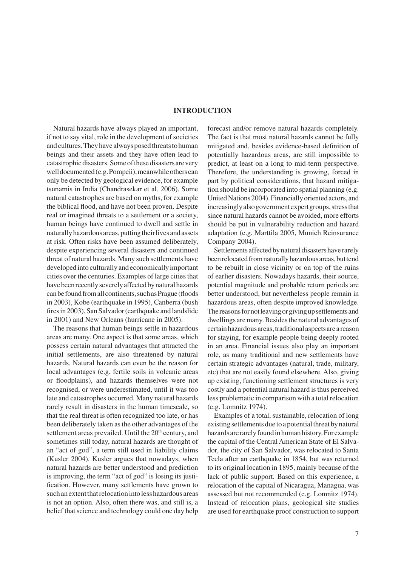#### **InTROduCTIOn**

Natural hazards have always played an important, if not to say vital, role in the development of societies and cultures. They have always posed threats to human beings and their assets and they have often lead to catastrophicdisasters.Someofthesedisasters arevery well documented (e.g. Pompeii), meanwhile others can only be detected by geological evidence, for example tsunamis in India (Chandrasekar et al. 2006). Some natural catastrophes are based on myths, for example the biblical flood, and have not been proven. Despite real or imagined threats to a settlement or a society, human beings have continued to dwell and settle in naturally hazardous areas, putting their lives and assets at risk. often risks have been assumed deliberately, despite experiencing several disasters and continued threat of natural hazards. Many such settlements have developed into culturally and economically important cities over the centuries. Examples of large cities that have been recently severely affected by natural hazards can be found from all continents, such as Prague (floods in 2003), Kobe (earthquake in 1995), canberra (bush fires in 2003), San Salvador (earthquake and landslide in 2001) and New Orleans (hurricane in 2005).

The reasons that human beings settle in hazardous areas are many. One aspect is that some areas, which possess certain natural advantages that attracted the initial settlements, are also threatened by natural hazards. Natural hazards can even be the reason for local advantages (e.g. fertile soils in volcanic areas or floodplains), and hazards themselves were not recognised, or were underestimated, until it was too late and catastrophes occurred. many natural hazards rarely result in disasters in the human timescale, so that the real threat is often recognized too late, or has been deliberately taken as the other advantages of the settlement areas prevailed. Until the 20<sup>th</sup> century, and sometimes still today, natural hazards are thought of an "act of god", a term still used in liability claims (Kusler 2004). Kusler argues that nowadays, when natural hazards are better understood and prediction is improving, the term "act of god" is losing its justification. However, many settlements have grown to such an extent that relocation into less hazardous areas is not an option. Also, often there was, and still is, a belief that science and technology could one day help

forecast and/or remove natural hazards completely. The fact is that most natural hazards cannot be fully mitigated and, besides evidence-based definition of potentially hazardous areas, are still impossible to predict, at least on a long to mid-term perspective. Therefore, the understanding is growing, forced in part by political considerations, that hazard mitigation should be incorporated into spatial planning (e.g. United Nations 2004). Financially oriented actors, and increasingly also government expert groups, stress that since natural hazards cannot be avoided, more efforts should be put in vulnerability reduction and hazard adaptation (e.g. Marttila 2005, Munich Reinsurance company 2004).

Settlements affected by natural disasters have rarely been relocated from naturally hazardous areas, but tend to be rebuilt in close vicinity or on top of the ruins of earlier disasters. nowadays hazards, their source, potential magnitude and probable return periods are better understood, but nevertheless people remain in hazardous areas, often despite improved knowledge. The reasons for not leaving or giving up settlements and dwellings are many. Besides the natural advantages of certainhazardousareas,traditional aspects are areason for staying, for example people being deeply rooted in an area. Financial issues also play an important role, as many traditional and new settlements have certain strategic advantages (natural, trade, military, etc) that are not easily found elsewhere. Also, giving up existing, functioning settlement structures is very costly and a potential natural hazard is thus perceived less problematic in comparison with a total relocation (e.g. Lomnitz 1974).

Examples of a total, sustainable, relocation of long existing settlements due to a potential threat by natural hazards are rarely found in human history. For example the capital of the Central American State of El Salvador, the city of San Salvador, was relocated to Santa Tecla after an earthquake in 1854, but was returned to its original location in 1895, mainly because of the lack of public support. Based on this experience, a relocation of the capital of Nicaragua, Managua, was assessed but not recommended (e.g. Lomnitz 1974). Instead of relocation plans, geological site studies are used for earthquake proof construction to support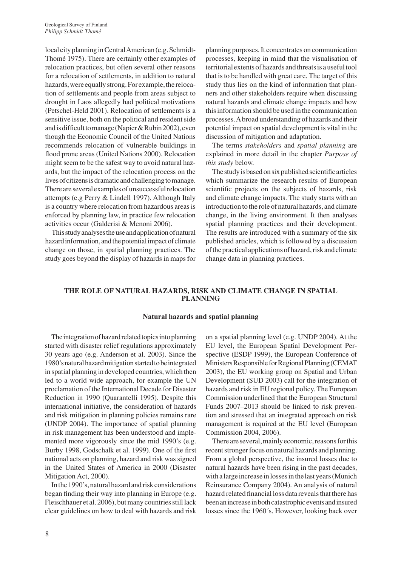local city planning in Central American (e.g. Schmidt-Thomé 1975). There are certainly other examples of relocation practices, but often several other reasons for a relocation of settlements, in addition to natural hazards, were equally strong. For example, the relocation of settlements and people from areas subject to drought in Laos allegedly had political motivations (Petschel-Held 2001). Relocation of settlements is a sensitive issue, both on the political and resident side and is difficult to manage (Napier & Rubin 2002), even though the Economic Council of the United Nations recommends relocation of vulnerable buildings in flood prone areas (United Nations 2000). Relocation might seem to be the safest way to avoid natural hazards, but the impact of the relocation process on the lives of citizens is dramatic and challenging to manage. There are several examples of unsuccessful relocation attempts (e.g Perry  $&$  Lindell 1997). Although Italy is a country where relocation from hazardous areas is enforced by planning law, in practice few relocation activities occur (Galderisi & menoni 2006).

Thisstudyanalysestheuseandapplicationofnatural hazard information, and the potential impact of climate change on those, in spatial planning practices. The study goes beyond the display of hazards in maps for planning purposes. it concentrates on communication processes, keeping in mind that the visualisation of territorial extents of hazards and threats is a useful tool that is to be handled with great care. The target of this study thus lies on the kind of information that planners and other stakeholders require when discussing natural hazards and climate change impacts and how this information should be used in the communication processes. Abroad understanding of hazards and their potential impact on spatial development is vital in the discussion of mitigation and adaptation.

The terms *stakeholders* and *spatial planning* are explained in more detail in the chapter *Purpose of this study* below.

The study is based on six published scientific articles which summarize the research results of European scientific projects on the subjects of hazards, risk and climate change impacts. The study starts with an introduction to the role of natural hazards, and climate change, in the living environment. it then analyses spatial planning practices and their development. The results are introduced with a summary of the six published articles, which is followed by a discussion of the practical applications of hazard, risk and climate change data in planning practices.

## **The ROLe Of naTuRaL hazaRdS, RISk and CLImaTe Change In SPaTIaL PLannIng**

#### **natural hazards and spatial planning**

The integration of hazard related topics into planning started with disaster relief regulations approximately 30 years ago (e.g. Anderson et al. 2003). Since the 1980's natural hazard mitigation started to be integrated in spatial planning in developed countries, which then led to a world wide approach, for example the Un proclamation of the International Decade for Disaster Reduction in 1990 (Quarantelli 1995). Despite this international initiative, the consideration of hazards and risk mitigation in planning policies remains rare (UNDP 2004). The importance of spatial planning in risk management has been understood and implemented more vigorously since the mid 1990's (e.g. Burby 1998, Godschalk et al. 1999). One of the first national acts on planning, hazard and risk was signed in the United States of America in 2000 (Disaster Mitigation Act, 2000).

In the 1990's, natural hazard and risk considerations began finding their way into planning in Europe (e.g. Fleischhauer et al. 2006), but many countries still lack clear guidelines on how to deal with hazards and risk

on a spatial planning level (e.g. UNDP  $2004$ ). At the EU level, the European Spatial Development Perspective (ESDP 1999), the European Conference of Ministers Responsible for Regional Planning (CEMAT 2003), the eU working group on Spatial and Urban Development (SUD 2003) call for the integration of hazards and risk in EU regional policy. The European Commission underlined that the European Structural Funds 2007–2013 should be linked to risk prevention and stressed that an integrated approach on risk management is required at the EU level (European commission 2004, 2006).

There are several, mainly economic, reasons for this recent stronger focus on natural hazards and planning. From a global perspective, the insured losses due to natural hazards have been rising in the past decades, with a large increase in losses in the last years (Munich Reinsurance Company 2004). An analysis of natural hazard related financial loss data reveals that there has been an increase in both catastrophic events and insured losses since the 1960´s. However, looking back over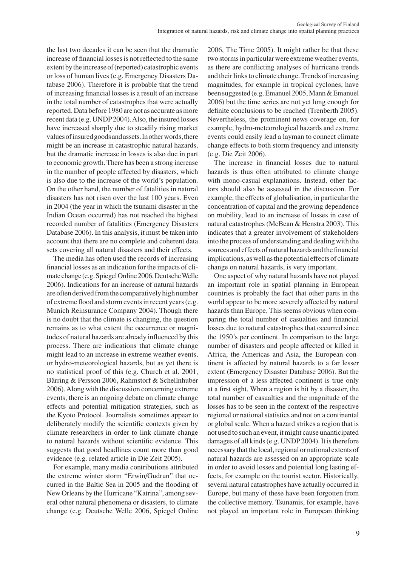the last two decades it can be seen that the dramatic increase of financial losses is not reflected to the same extent by the increase of (reported) catastrophic events or loss of human lives (e.g. Emergency Disasters Database 2006). Therefore it is probable that the trend of increasing financial losses is a result of an increase in the total number of catastrophes that were actually reported. Data before 1980 are not as accurate as more recent data (e.g. UNDP2004). Also, the insured losses have increased sharply due to steadily rising market values of insured goods and assets. In other words, there might be an increase in catastrophic natural hazards, but the dramatic increase in losses is also due in part to economic growth. There has been a strong increase in the number of people affected by disasters, which is also due to the increase of the world's population. On the other hand, the number of fatalities in natural disasters has not risen over the last 100 years. Even in 2004 (the year in which the tsunami disaster in the Indian Ocean occurred) has not reached the highest recorded number of fatalities (Emergency Disasters Database 2006). In this analysis, it must be taken into account that there are no complete and coherent data sets covering all natural disasters and their effects.

The media has often used the records of increasing financial losses as an indication for the impacts of climate change (e.g. Spiegel Online 2006, Deutsche Welle 2006). indications for an increase of natural hazards are often derived from the comparatively high number of extreme flood and storm events in recent years (e.g. Munich Reinsurance Company 2004). Though there is no doubt that the climate is changing, the question remains as to what extent the occurrence or magnitudes of natural hazards are already influenced by this process. There are indications that climate change might lead to an increase in extreme weather events, or hydro-meteorological hazards, but as yet there is no statistical proof of this (e.g. church et al. 2001, Bärring & Persson 2006, Rahmstorf & Schellnhuber 2006). Along with the discussion concerning extreme events, there is an ongoing debate on climate change effects and potential mitigation strategies, such as the Kyoto Protocol. Journalists sometimes appear to deliberately modify the scientific contexts given by climate researchers in order to link climate change to natural hazards without scientific evidence. This suggests that good headlines count more than good evidence (e.g. related article in Die Zeit 2005).

For example, many media contributions attributed the extreme winter storm "Erwin/Gudrun" that occurred in the Baltic Sea in 2005 and the flooding of New Orleans by the Hurricane "Katrina", among several other natural phenomena or disasters, to climate change (e.g. Deutsche Welle 2006, Spiegel Online

2006, The Time 2005). It might rather be that these two storms in particular were extreme weather events, as there are conflicting analyses of hurricane trends and their links to climate change. Trends of increasing magnitudes, for example in tropical cyclones, have been suggested (e.g. Emanuel 2005, Mann  $&$  Emanuel 2006) but the time series are not yet long enough for definite conclusions to be reached (Trenberth 2005). Nevertheless, the prominent news coverage on, for example, hydro-meteorological hazards and extreme events could easily lead a layman to connect climate change effects to both storm frequency and intensity (e.g. Die Zeit 2006).

The increase in financial losses due to natural hazards is thus often attributed to climate change with mono-casual explanations. Instead, other factors should also be assessed in the discussion. For example, the effects of globalisation, in particular the concentration of capital and the growing dependence on mobility, lead to an increase of losses in case of natural catastrophes (mcBean & Henstra 2003). This indicates that a greater involvement of stakeholders into the process of understanding and dealing with the sources and effects of natural hazards and the financial implications, as well as the potential effects of climate change on natural hazards, is very important.

One aspect of why natural hazards have not played an important role in spatial planning in European countries is probably the fact that other parts in the world appear to be more severely affected by natural hazards than Europe. This seems obvious when comparing the total number of casualties and financial losses due to natural catastrophes that occurred since the 1950's per continent. in comparison to the large number of disasters and people affected or killed in Africa, the Americas and Asia, the European continent is affected by natural hazards to a far lesser extent (Emergency Disaster Database 2006). But the impression of a less affected continent is true only at a first sight. When a region is hit by a disaster, the total number of casualties and the magnitude of the losses has to be seen in the context of the respective regional or national statistics and not on a continental or global scale. When a hazard strikes a region that is not used to such an event, it might cause unanticipated damages of all kinds (e.g. UNDP 2004). It is therefore necessary that the local, regional or national extents of natural hazards are assessed on an appropriate scale in order to avoid losses and potential long lasting effects, for example on the tourist sector. Historically, several natural catastrophes have actually occurred in Europe, but many of these have been forgotten from the collective memory. Tsunamis, for example, have not played an important role in European thinking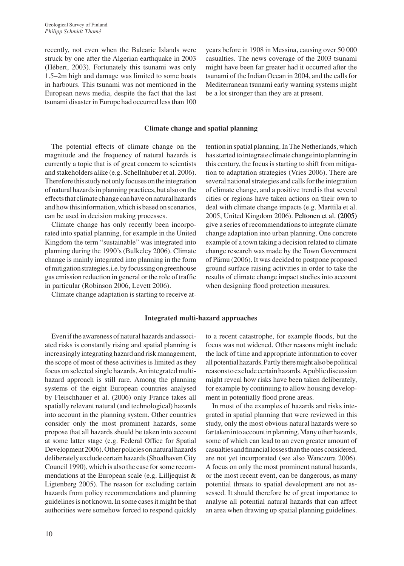recently, not even when the Balearic Islands were struck by one after the Algerian earthquake in 2003 (Hébert, 2003). Fortunately this tsunami was only 1.5–2m high and damage was limited to some boats in harbours. This tsunami was not mentioned in the European news media, despite the fact that the last tsunami disaster in Europe had occurred less than 100

years before in 1908 in messina, causing over 50 000 casualties. The news coverage of the 2003 tsunami might have been far greater had it occurred after the tsunami of the Indian Ocean in 2004, and the calls for Mediterranean tsunami early warning systems might be a lot stronger than they are at present.

tention in spatial planning. In The Netherlands, which has started to integrate climate change into planning in this century, the focus is starting to shift from mitigation to adaptation strategies (Vries 2006). There are several national strategies and calls for the integration of climate change, and a positive trend is that several cities or regions have taken actions on their own to deal with climate change impacts (e.g. Marttila et al. 2005, United Kingdom 2006). Peltonen et al. (2005) give a series of recommendations to integrate climate change adaptation into urban planning. One concrete example of a town taking a decision related to climate change research was made by the Town Government of Pärnu (2006). it was decided to postpone proposed ground surface raising activities in order to take the results of climate change impact studies into account

#### **Climate change and spatial planning**

The potential effects of climate change on the magnitude and the frequency of natural hazards is currently a topic that is of great concern to scientists and stakeholders alike (e.g. Schellnhuber et al. 2006). Therefore this study not only focuses on the integration ofnaturalhazardsinplanningpractices,butalsoonthe effects that climate change can have on natural hazards and how this information, which is based on scenarios, can be used in decision making processes.

climate change has only recently been incorporated into spatial planning, for example in the United Kingdom the term "sustainable" was integrated into planning during the 1990's (Bulkeley 2006). climate change is mainly integrated into planning in the form of mitigation strategies, i.e. by focussing on greenhouse gas emission reduction in general or the role of traffic in particular (Robinson 2006, Levett 2006).

climate change adaptation is starting to receive at-

#### **Integrated multi-hazard approaches**

Even if the awareness of natural hazards and associated risks is constantly rising and spatial planning is increasingly integrating hazard and risk management, the scope of most of these activities is limited as they focus on selected single hazards. An integrated multihazard approach is still rare. Among the planning systems of the eight European countries analysed by Fleischhauer et al. (2006) only France takes all spatially relevant natural (and technological) hazards into account in the planning system. Other countries consider only the most prominent hazards, some propose that all hazards should be taken into account at some latter stage (e.g. Federal office for Spatial Development 2006). Other policies on natural hazards deliberately exclude certain hazards (Shoalhaven City council 1990), which is also the case for some recommendations at the European scale (e.g. Lilljequist  $\&$ Ligtenberg 2005). The reason for excluding certain hazards from policy recommendations and planning guidelines is not known. in some cases it might be that authorities were somehow forced to respond quickly

to a recent catastrophe, for example floods, but the focus was not widened. Other reasons might include the lack of time and appropriate information to cover all potential hazards. Partly there might also be political reasonstoexclude certainhazards.Apublicdiscussion might reveal how risks have been taken deliberately, for example by continuing to allow housing development in potentially flood prone areas.

when designing flood protection measures.

In most of the examples of hazards and risks integrated in spatial planning that were reviewed in this study, only the most obvious natural hazards were so far taken into account in planning. Many other hazards, some of which can lead to an even greater amount of casualtiesandfinanciallossesthantheonesconsidered, are not yet incorporated (see also Wanczura 2006). A focus on only the most prominent natural hazards, or the most recent event, can be dangerous, as many potential threats to spatial development are not assessed. it should therefore be of great importance to analyse all potential natural hazards that can affect an area when drawing up spatial planning guidelines.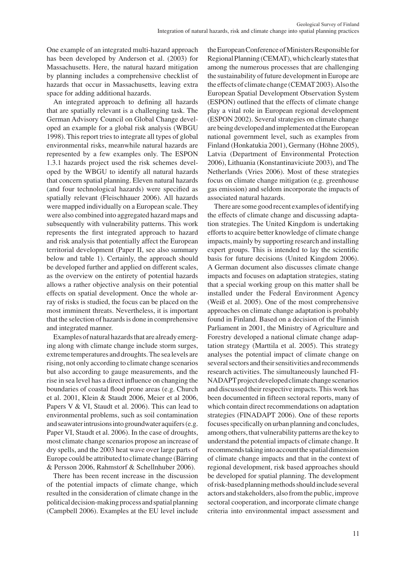One example of an integrated multi-hazard approach has been developed by Anderson et al. (2003) for massachusetts. Here, the natural hazard mitigation by planning includes a comprehensive checklist of hazards that occur in Massachusetts, leaving extra space for adding additional hazards.

An integrated approach to defining all hazards that are spatially relevant is a challenging task. The German Advisory council on Global change developed an example for a global risk analysis (WBGU 1998). This report tries to integrate all types of global environmental risks, meanwhile natural hazards are represented by a few examples only. The ESPON 1.3.1 hazards project used the risk schemes developed by the WBGU to identify all natural hazards that concern spatial planning. Eleven natural hazards (and four technological hazards) were specified as spatially relevant (Fleischhauer 2006). All hazards were mapped individually on a European scale. They were also combined into aggregated hazard maps and subsequently with vulnerability patterns. This work represents the first integrated approach to hazard and risk analysis that potentially affect the European territorial development (Paper II, see also summary below and table 1). Certainly, the approach should be developed further and applied on different scales, as the overview on the entirety of potential hazards allows a rather objective analysis on their potential effects on spatial development. Once the whole array of risks is studied, the focus can be placed on the most imminent threats. Nevertheless, it is important that the selection of hazards is done in comprehensive and integrated manner.

Examples of natural hazards that are already emerging along with climate change include storm surges, extreme temperatures and droughts. The sea levels are rising, not only according to climate change scenarios but also according to gauge measurements, and the rise in sea level has a direct influence on changing the boundaries of coastal flood prone areas (e.g. church et al. 2001, Klein & Staudt 2006, meier et al 2006, Papers V & Vi, Staudt et al. 2006). This can lead to environmental problems, such as soil contamination and seawater intrusions into groundwater aquifers (e.g. Paper VI, Staudt et al. 2006). In the case of droughts, most climate change scenarios propose an increase of dry spells, and the 2003 heat wave over large parts of Europe could be attributed to climate change (Bärring & Persson 2006, Rahmstorf & Schellnhuber 2006).

There has been recent increase in the discussion of the potential impacts of climate change, which resulted in the consideration of climate change in the political decision-making process and spatial planning (Campbell 2006). Examples at the EU level include the European Conference of Ministers Responsible for Regional Planning (CEMAT), which clearly states that among the numerous processes that are challenging the sustainability of future development in Europe are the effects of climate change (CEMAT 2003). Also the European Spatial Development Observation System (eSPon) outlined that the effects of climate change play a vital role in European regional development (eSPon 2002). Several strategies on climate change are being developed and implemented at the European national government level, such as examples from Finland (Honkatukia 2001), Germany (Höhne 2005), Latvia (Department of Environmental Protection 2006), Lithuania (Konstantinaviciute 2003), and The Netherlands (Vries 2006). Most of these strategies focus on climate change mitigation (e.g. greenhouse gas emission) and seldom incorporate the impacts of associated natural hazards.

There are some good recent examples of identifying the effects of climate change and discussing adaptation strategies. The United Kingdom is undertaking efforts to acquire better knowledge of climate change impacts, mainly by supporting research and installing expert groups. This is intended to lay the scientific basis for future decisions (United Kingdom 2006). A German document also discusses climate change impacts and focuses on adaptation strategies, stating that a special working group on this matter shall be installed under the Federal Environment Agency (Weiß et al. 2005). One of the most comprehensive approaches on climate change adaptation is probably found in Finland. Based on a decision of the Finnish Parliament in 2001, the Ministry of Agriculture and Forestry developed a national climate change adaptation strategy (marttila et al. 2005). This strategy analyses the potential impact of climate change on several sectors and their sensitivities and recommends research activities. The simultaneously launched Fi-NADAPT project developed climate change scenarios and discussed their respective impacts. This work has been documented in fifteen sectoral reports, many of which contain direct recommendations on adaptation strategies (FINADAPT 2006). One of these reports focuses specifically on urban planning and concludes, among others, that vulnerability patterns are the key to understand the potential impacts of climate change. it recommends taking into account the spatial dimension of climate change impacts and that in the context of regional development, risk based approaches should be developed for spatial planning. The development ofrisk-basedplanningmethodsshouldinclude several actors and stakeholders, also from the public, improve sectoral cooperation, and incorporate climate change criteria into environmental impact assessment and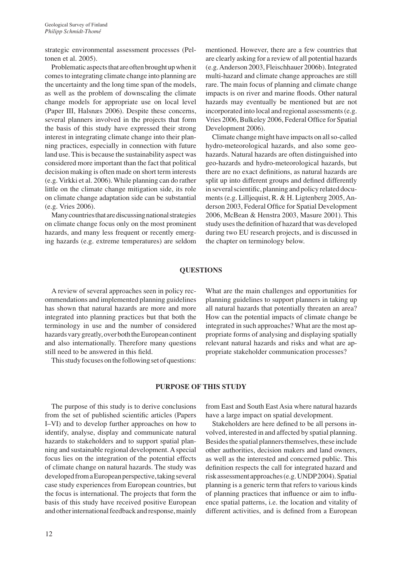strategic environmental assessment processes (Peltonen et al. 2005).

Problematic aspects that are often brought up when it comes to integrating climate change into planning are the uncertainty and the long time span of the models, as well as the problem of downscaling the climate change models for appropriate use on local level (Paper III, Halsnæs 2006). Despite these concerns, several planners involved in the projects that form the basis of this study have expressed their strong interest in integrating climate change into their planning practices, especially in connection with future land use. This is because the sustainability aspect was considered more important than the fact that political decision making is often made on short term interests (e.g. Virkki et al. 2006). While planning can do rather little on the climate change mitigation side, its role on climate change adaptation side can be substantial (e.g. Vries 2006).

Many countries that are discussing national strategies on climate change focus only on the most prominent hazards, and many less frequent or recently emerging hazards (e.g. extreme temperatures) are seldom mentioned. However, there are a few countries that are clearly asking for a review of all potential hazards (e.g. Anderson 2003, Fleischhauer 2006b). Integrated multi-hazard and climate change approaches are still rare. The main focus of planning and climate change impacts is on river and marine floods. Other natural hazards may eventually be mentioned but are not incorporated into local and regional assessments (e.g. Vries 2006, Bulkeley 2006, Federal office for Spatial Development 2006).

climate change might have impacts on all so-called hydro-meteorological hazards, and also some geohazards. Natural hazards are often distinguished into geo-hazards and hydro-meteorological hazards, but there are no exact definitions, as natural hazards are split up into different groups and defined differently in several scientific, planning and policy related documents (e.g. Lilljequist, R. & H. Ligtenberg 2005, Anderson 2003, Federal Office for Spatial Development 2006, mcBean & Henstra 2003, masure 2001). This study uses the definition of hazard that was developed during two EU research projects, and is discussed in the chapter on terminology below.

### **QueSTIOnS**

A review of several approaches seen in policy recommendations and implemented planning guidelines has shown that natural hazards are more and more integrated into planning practices but that both the terminology in use and the number of considered hazards vary greatly, over both the European continent and also internationally. Therefore many questions still need to be answered in this field.

This study focuses on the following set of questions:

What are the main challenges and opportunities for planning guidelines to support planners in taking up all natural hazards that potentially threaten an area? How can the potential impacts of climate change be integrated in such approaches? What are the most appropriate forms of analysing and displaying spatially relevant natural hazards and risks and what are appropriate stakeholder communication processes?

#### **PuRPOSe Of ThIS STudy**

The purpose of this study is to derive conclusions from the set of published scientific articles (Papers i–Vi) and to develop further approaches on how to identify, analyse, display and communicate natural hazards to stakeholders and to support spatial planning and sustainable regional development. A special focus lies on the integration of the potential effects of climate change on natural hazards. The study was developed from a European perspective, taking several case study experiences from European countries, but the focus is international. The projects that form the basis of this study have received positive European and other international feedback and response, mainly

from East and South East Asia where natural hazards have a large impact on spatial development.

Stakeholders are here defined to be all persons involved, interested in and affected by spatial planning. Besides the spatial planners themselves, these include other authorities, decision makers and land owners, as well as the interested and concerned public. This definition respects the call for integrated hazard and risk assessment approaches (e.g. UNDP2004). Spatial planning is a generic term that refers to various kinds of planning practices that influence or aim to influence spatial patterns, i.e. the location and vitality of different activities, and is defined from a European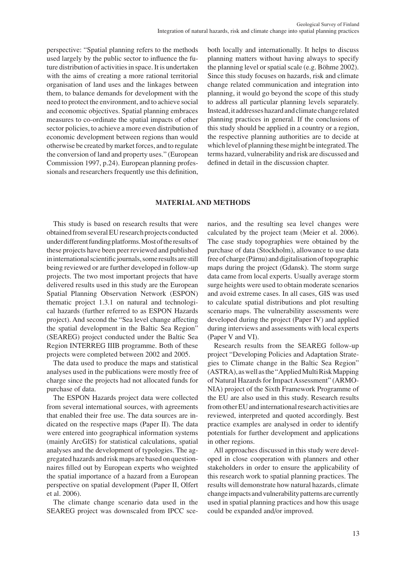perspective: "Spatial planning refers to the methods used largely by the public sector to influence the future distribution of activities in space. It is undertaken with the aims of creating a more rational territorial organisation of land uses and the linkages between them, to balance demands for development with the need to protect the environment, and to achieve social and economic objectives. Spatial planning embraces measures to co-ordinate the spatial impacts of other sector policies, to achieve a more even distribution of economic development between regions than would otherwise be created by market forces, and to regulate the conversion of land and property uses." (European Commission 1997, p.24). European planning professionals and researchers frequently use this definition,

both locally and internationally. it helps to discuss planning matters without having always to specify the planning level or spatial scale (e.g. Böhme 2002). Since this study focuses on hazards, risk and climate change related communication and integration into planning, it would go beyond the scope of this study to address all particular planning levels separately. Instead, it addresses hazard and climate change related planning practices in general. if the conclusions of this study should be applied in a country or a region, the respective planning authorities are to decide at which level of planning these might be integrated. The terms hazard, vulnerability and risk are discussed and defined in detail in the discussion chapter.

### **maTeRIaLand meThOdS**

This study is based on research results that were obtained from several EU research projects conducted under different funding platforms. Most of the results of these projects have been peer reviewed and published in international scientific journals, some results are still being reviewed or are further developed in follow-up projects. The two most important projects that have delivered results used in this study are the European Spatial Planning Observation Network (ESPON) thematic project 1.3.1 on natural and technological hazards (further referred to as eSPon Hazards project). And second the "Sea level change affecting the spatial development in the Baltic Sea Region" (SeAreG) project conducted under the Baltic Sea Region INTERREG IIIB programme. Both of these projects were completed between 2002 and 2005.

The data used to produce the maps and statistical analyses used in the publications were mostly free of charge since the projects had not allocated funds for purchase of data.

The ESPON Hazards project data were collected from several international sources, with agreements that enabled their free use. The data sources are indicated on the respective maps (Paper II). The data were entered into geographical information systems (mainly ArcGiS) for statistical calculations, spatial analyses and the development of typologies. The aggregated hazards and risk maps are based on questionnaires filled out by European experts who weighted the spatial importance of a hazard from a European perspective on spatial development (Paper II, Olfert et al. 2006).

The climate change scenario data used in the SEAREG project was downscaled from IPCC scenarios, and the resulting sea level changes were calculated by the project team (meier et al. 2006). The case study topographies were obtained by the purchase of data (Stockholm), allowance to use data free of charge (Pärnu) and digitalisation of topographic maps during the project (Gdansk). The storm surge data came from local experts. Usually average storm surge heights were used to obtain moderate scenarios and avoid extreme cases. in all cases, GiS was used to calculate spatial distributions and plot resulting scenario maps. The vulnerability assessments were developed during the project (Paper IV) and applied during interviews and assessments with local experts (Paper V and Vi).

Research results from the SEAREG follow-up project "Developing Policies and Adaptation Strategies to Climate change in the Baltic Sea Region" (ASTRA), as well as the "Applied Multi Risk Mapping of Natural Hazards for Impact Assessment" (ARMO-NIA) project of the Sixth Framework Programme of the EU are also used in this study. Research results from other EU and international research activities are reviewed, interpreted and quoted accordingly. Best practice examples are analysed in order to identify potentials for further development and applications in other regions.

All approaches discussed in this study were developed in close cooperation with planners and other stakeholders in order to ensure the applicability of this research work to spatial planning practices. The results will demonstrate how natural hazards, climate change impacts andvulnerabilitypatterns are currently used in spatial planning practices and how this usage could be expanded and/or improved.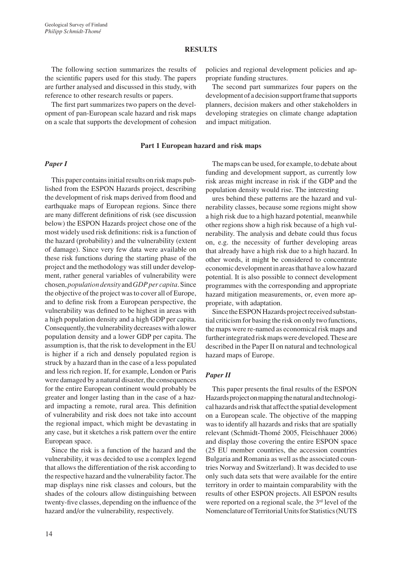### **ReSuLTS**

The following section summarizes the results of the scientific papers used for this study. The papers are further analysed and discussed in this study, with reference to other research results or papers.

The first part summarizes two papers on the development of pan-European scale hazard and risk maps on a scale that supports the development of cohesion

Part 1 European hazard and risk maps

#### *Paper I*

This paper contains initial results on risk maps published from the ESPON Hazards project, describing the development of risk maps derived from flood and earthquake maps of European regions. Since there are many different definitions of risk (see discussion below) the ESPON Hazards project chose one of the most widely used risk definitions: risk is a function of the hazard (probability) and the vulnerability (extent of damage). Since very few data were available on these risk functions during the starting phase of the project and the methodology was still under development, rather general variables of vulnerability were chosen, *population density* and *GDP per capita*. Since the objective of the project was to cover all of Europe, and to define risk from a European perspective, the vulnerability was defined to be highest in areas with a high population density and a high GDP per capita. Consequently, the vulnerability decreases with a lower population density and a lower GDP per capita. The assumption is, that the risk to development in the EU is higher if a rich and densely populated region is struck by a hazard than in the case of a less populated and less rich region. if, for example, London or Paris were damaged by a natural disaster, the consequences for the entire European continent would probably be greater and longer lasting than in the case of a hazard impacting a remote, rural area. This definition of vulnerability and risk does not take into account the regional impact, which might be devastating in any case, but it sketches a risk pattern over the entire European space.

Since the risk is a function of the hazard and the vulnerability, it was decided to use a complex legend that allows the differentiation of the risk according to the respective hazard and the vulnerability factor. The map displays nine risk classes and colours, but the shades of the colours allow distinguishing between twenty-five classes, depending on the influence of the hazard and/or the vulnerability, respectively.

The maps can be used, for example, to debate about funding and development support, as currently low risk areas might increase in risk if the GDP and the population density would rise. The interesting

policies and regional development policies and ap-

The second part summarizes four papers on the development of a decision support frame that supports planners, decision makers and other stakeholders in developing strategies on climate change adaptation

propriate funding structures.

and impact mitigation.

ures behind these patterns are the hazard and vulnerability classes, because some regions might show a high risk due to a high hazard potential, meanwhile other regions show a high risk because of a high vulnerability. The analysis and debate could thus focus on, e.g. the necessity of further developing areas that already have a high risk due to a high hazard. in other words, it might be considered to concentrate economic development in areas that have a low hazard potential. it is also possible to connect development programmes with the corresponding and appropriate hazard mitigation measurements, or, even more appropriate, with adaptation.

Since the ESPON Hazards project received substantial criticism for basing the risk on only two functions, the maps were re-named as economical risk maps and further integrated risk maps were developed. These are described in the Paper II on natural and technological hazard maps of Europe.

#### *Paper II*

This paper presents the final results of the ESPON Hazards project on mapping the natural and technological hazards and risk that affect the spatial development on a European scale. The objective of the mapping was to identify all hazards and risks that are spatially relevant (Schmidt-Thomé 2005, Fleischhauer 2006) and display those covering the entire ESPON space (25 eU member countries, the accession countries Bulgaria and Romania as well as the associated countries Norway and Switzerland). It was decided to use only such data sets that were available for the entire territory in order to maintain comparability with the results of other ESPON projects. All ESPON results were reported on a regional scale, the 3<sup>rd</sup> level of the Nomenclature of Territorial Units for Statistics (NUTS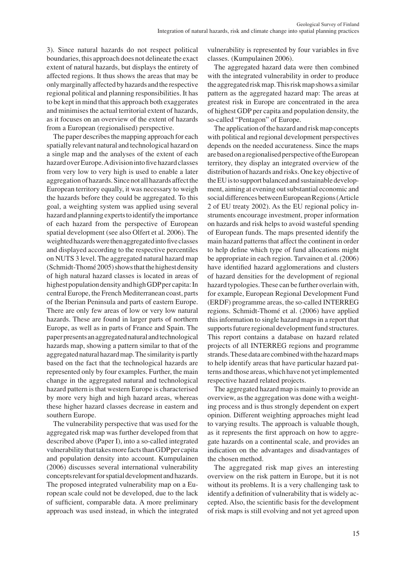3). Since natural hazards do not respect political boundaries, this approach does not delineate the exact extent of natural hazards, but displays the entirety of affected regions. it thus shows the areas that may be onlymarginallyaffectedbyhazards andthe respective regional political and planning responsibilities. it has to be kept in mind that this approach both exaggerates and minimises the actual territorial extent of hazards, as it focuses on an overview of the extent of hazards from a European (regionalised) perspective.

The paper describes the mapping approach for each spatially relevant natural and technological hazard on a single map and the analyses of the extent of each hazard over Europe. A division into five hazard classes from very low to very high is used to enable a later aggregation of hazards. Since not all hazards affect the European territory equally, it was necessary to weigh the hazards before they could be aggregated. To this goal, a weighting system was applied using several hazard and planning experts to identify the importance of each hazard from the perspective of European spatial development (see also Olfert et al. 2006). The weighted hazards were then aggregated into five classes and displayed according to the respective percentiles on nUTS 3 level. The aggregated natural hazard map (Schmidt-Thomé 2005) shows that the highest density of high natural hazard classes is located in areas of highest population density and high GDP per capita: In central Europe, the French Mediterranean coast, parts of the Iberian Peninsula and parts of eastern Europe. There are only few areas of low or very low natural hazards. These are found in larger parts of northern Europe, as well as in parts of France and Spain. The paper presents an aggregated natural and technological hazards map, showing a pattern similar to that of the aggregated natural hazard map. The similarity is partly based on the fact that the technological hazards are represented only by four examples. Further, the main change in the aggregated natural and technological hazard pattern is that western Europe is characterised by more very high and high hazard areas, whereas these higher hazard classes decrease in eastern and southern Europe.

The vulnerability perspective that was used for the aggregated risk map was further developed from that described above (Paper I), into a so-called integrated vulnerability that takes more facts than GDP per capita and population density into account. Kumpulainen (2006) discusses several international vulnerability conceptsrelevantforspatialdevelopment andhazards. The proposed integrated vulnerability map on a European scale could not be developed, due to the lack of sufficient, comparable data. A more preliminary approach was used instead, in which the integrated

vulnerability is represented by four variables in five classes. (Kumpulainen 2006).

The aggregated hazard data were then combined with the integrated vulnerability in order to produce the aggregatedriskmap.Thisriskmapshowsasimilar pattern as the aggregated hazard map: The areas at greatest risk in Europe are concentrated in the area of highest GDP per capita and population density, the so-called "Pentagon" of Europe.

The application of the hazard and risk map concepts with political and regional development perspectives depends on the needed accurateness. Since the maps are based on a regionalised perspective of the European territory, they display an integrated overview of the distribution of hazards and risks. One key objective of the EU is to support balanced and sustainable development, aiming at evening out substantial economic and social differences between European Regions (Article 2 of eU treaty 2002). As the eU regional policy instruments encourage investment, proper information on hazards and risk helps to avoid wasteful spending of European funds. The maps presented identify the main hazard patterns that affect the continent in order to help define which type of fund allocations might be appropriate in each region. Tarvainen et al. (2006) have identified hazard agglomerations and clusters of hazard densities for the development of regional hazard typologies. These can be further overlain with, for example, European Regional Development Fund (ERDF) programme areas, the so-called INTERREG regions. Schmidt-Thomé et al. (2006) have applied this information to single hazard maps in a report that supports future regional development fund structures. This report contains a database on hazard related projects of all INTERREG regions and programme strands. These data are combined with the hazard maps to help identify areas that have particular hazard patterns and those areas, which have not yet implemented respective hazard related projects.

The aggregated hazard map is mainly to provide an overview, as the aggregation was done with a weighting process and is thus strongly dependent on expert opinion. Different weighting approaches might lead to varying results. The approach is valuable though, as it represents the first approach on how to aggregate hazards on a continental scale, and provides an indication on the advantages and disadvantages of the chosen method.

The aggregated risk map gives an interesting overview on the risk pattern in Europe, but it is not without its problems. It is a very challenging task to identify a definition of vulnerability that is widely accepted. Also, the scientific basis for the development of risk maps is still evolving and not yet agreed upon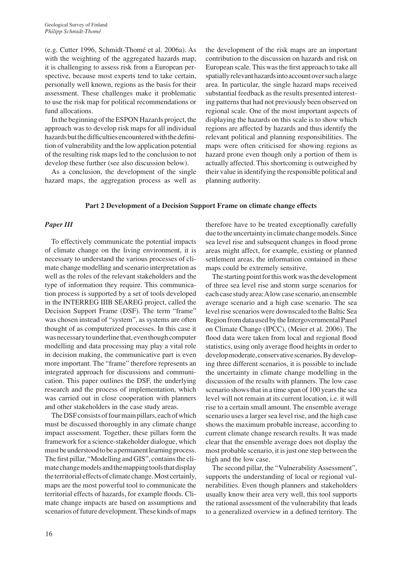(e.g. cutter 1996, Schmidt-Thomé et al. 2006a). As with the weighting of the aggregated hazards map, it is challenging to assess risk from a European perspective, because most experts tend to take certain, personally well known, regions as the basis for their assessment. These challenges make it problematic to use the risk map for political recommendations or fund allocations.

In the beginning of the ESPON Hazards project, the approach was to develop risk maps for all individual hazards but the difficulties encountered with the definition of vulnerability and the low application potential of the resulting risk maps led to the conclusion to not develop these further (see also discussion below).

As a conclusion, the development of the single hazard maps, the aggregation process as well as the development of the risk maps are an important contribution to the discussion on hazards and risk on European scale. This was the first approach to take all spatially relevant hazards into account over such a large area. in particular, the single hazard maps received substantial feedback as the results presented interesting patterns that had not previously been observed on regional scale. One of the most important aspects of displaying the hazards on this scale is to show which regions are affected by hazards and thus identify the relevant political and planning responsibilities. The maps were often criticised for showing regions as hazard prone even though only a portion of them is actually affected. This shortcoming is outweighed by their value in identifying the responsible political and planning authority.

## Part 2 Development of a Decision Support Frame on climate change effects

## *Paper III*

To effectively communicate the potential impacts of climate change on the living environment, it is necessary to understand the various processes of climate change modelling and scenario interpretation as well as the roles of the relevant stakeholders and the type of information they require. This communication process is supported by a set of tools developed in the INTERREG IIIB SEAREG project, called the Decision Support Frame (DSF). The term "frame" was chosen instead of "system", as systems are often thought of as computerized processes. in this case it was necessary to underline that, even though computer modelling and data processing may play a vital role in decision making, the communicative part is even more important. The "frame" therefore represents an integrated approach for discussions and communication. This paper outlines the DSF, the underlying research and the process of implementation, which was carried out in close cooperation with planners and other stakeholders in the case study areas.

The DSF consists of four main pillars, each of which must be discussed thoroughly in any climate change impact assessment. Together, these pillars form the framework for a science-stakeholder dialogue, which must be understood to be a permanent learning process. The first pillar, "Modelling and GIS", contains the climate change models and the mapping tools that display the territorial effects of climate change. Most certainly, maps are the most powerful tool to communicate the territorial effects of hazards, for example floods. climate change impacts are based on assumptions and scenarios of future development. These kinds of maps

therefore have to be treated exceptionally carefully due to the uncertainty in climate change models. Since sea level rise and subsequent changes in flood prone areas might affect, for example, existing or planned settlement areas, the information contained in these maps could be extremely sensitive.

The starting point for this work was the development of three sea level rise and storm surge scenarios for eachcase studyarea:Alowcase scenario, anensemble average scenario and a high case scenario. The sea level rise scenarios were downscaled to the Baltic Sea Region from data used by the Intergovernmental Panel on climate change (iPcc), (meier et al. 2006). The flood data were taken from local and regional flood statistics, using only average flood heights in order to developmoderate, conservative scenarios. By developing three different scenarios, it is possible to include the uncertainty in climate change modelling in the discussion of the results with planners. The low case scenario shows that in a time span of 100 years the sea level will not remain at its current location, i.e. it will rise to a certain small amount. The ensemble average scenario uses a larger sea level rise, and the high case shows the maximum probable increase, according to current climate change research results. It was made clear that the ensemble average does not display the most probable scenario, it is just one step between the high and the low case.

The second pillar, the "Vulnerability Assessment", supports the understanding of local or regional vulnerabilities. Even though planners and stakeholders usually know their area very well, this tool supports the rational assessment of the vulnerability that leads to a generalized overview in a defined territory. The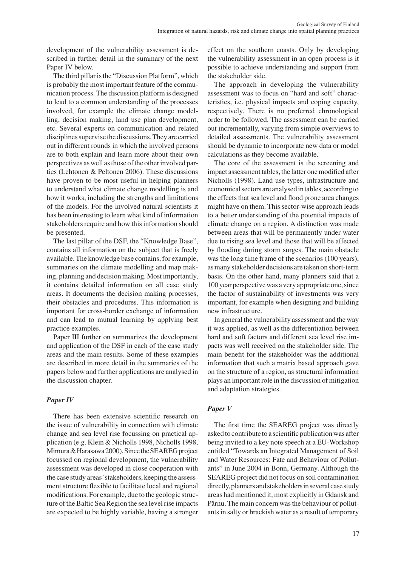development of the vulnerability assessment is described in further detail in the summary of the next Paper IV below.

The third pillar is the "Discussion Platform", which is probably the most important feature of the communication process. The discussion platform is designed to lead to a common understanding of the processes involved, for example the climate change modelling, decision making, land use plan development, etc. Several experts on communication and related disciplines supervise the discussions. They are carried out in different rounds in which the involved persons are to both explain and learn more about their own perspectives as well as those of the other involved parties (Lehtonen & Peltonen 2006). These discussions have proven to be most useful in helping planners to understand what climate change modelling is and how it works, including the strengths and limitations of the models. For the involved natural scientists it has been interesting to learn what kind of information stakeholders require and how this information should be presented.

The last pillar of the DSF, the "Knowledge Base", contains all information on the subject that is freely available. The knowledge base contains, for example, summaries on the climate modelling and map making, planning and decision making. Most importantly, it contains detailed information on all case study areas. it documents the decision making processes, their obstacles and procedures. This information is important for cross-border exchange of information and can lead to mutual learning by applying best practice examples.

Paper III further on summarizes the development and application of the DSF in each of the case study areas and the main results. Some of these examples are described in more detail in the summaries of the papers below and further applications are analysed in the discussion chapter.

## *Paper IV*

There has been extensive scientific research on the issue of vulnerability in connection with climate change and sea level rise focussing on practical application (e.g. Klein & Nicholls 1998, Nicholls 1998, Mimura & Harasawa 2000). Since the SEAREG project focussed on regional development, the vulnerability assessment was developed in close cooperation with the case study areas'stakeholders, keeping the assessment structure flexible to facilitate local and regional modifications. For example, due to the geologic structure of the Baltic Sea Region the sea level rise impacts are expected to be highly variable, having a stronger

effect on the southern coasts. Only by developing the vulnerability assessment in an open process is it possible to achieve understanding and support from the stakeholder side.

The approach in developing the vulnerability assessment was to focus on "hard and soft" characteristics, i.e. physical impacts and coping capacity, respectively. There is no preferred chronological order to be followed. The assessment can be carried out incrementally, varying from simple overviews to detailed assessments. The vulnerability assessment should be dynamic to incorporate new data or model calculations as they become available.

The core of the assessment is the screening and impact assessment tables, the latter one modified after Nicholls (1998). Land use types, infrastructure and economical sectors are analysed in tables, according to the effects that sea level and flood prone area changes might have on them. This sector-wise approach leads to a better understanding of the potential impacts of climate change on a region. A distinction was made between areas that will be permanently under water due to rising sea level and those that will be affected by flooding during storm surges. The main obstacle was the long time frame of the scenarios (100 years), as many stakeholder decisions are taken on short-term basis. on the other hand, many planners said that a 100 year perspective was a very appropriate one, since the factor of sustainability of investments was very important, for example when designing and building new infrastructure.

In general the vulnerability assessment and the way it was applied, as well as the differentiation between hard and soft factors and different sea level rise impacts was well received on the stakeholder side. The main benefit for the stakeholder was the additional information that such a matrix based approach gave on the structure of a region, as structural information plays an important role in the discussion of mitigation and adaptation strategies.

## *Paper V*

The first time the SEAREG project was directly asked to contribute to a scientific publication was after being invited to a key note speech at a EU-Workshop entitled "Towards an Integrated Management of Soil and Water Resources: Fate and Behaviour of Pollutants" in June 2004 in Bonn, Germany. Although the SEAREG project did not focus on soil contamination directly, planners and stakeholders in several case study areas had mentioned it, most explicitly in Gdansk and Pärnu. The main concern was the behaviour of pollutants in salty or brackish water as a result of temporary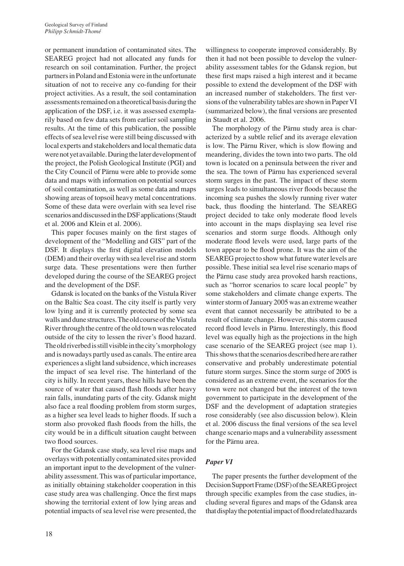or permanent inundation of contaminated sites. The SEAREG project had not allocated any funds for research on soil contamination. Further, the project partners in Poland and Estonia were in the unfortunate situation of not to receive any co-funding for their project activities. As a result, the soil contamination assessments remained on a theoretical basis during the application of the DSF, i.e. it was assessed exemplarily based on few data sets from earlier soil sampling results. At the time of this publication, the possible effects of sea level rise were still being discussed with local experts and stakeholders and local thematic data were not yet available. During the later development of the project, the Polish Geological Institute (PGI) and the city council of Pärnu were able to provide some data and maps with information on potential sources of soil contamination, as well as some data and maps showing areas of topsoil heavy metal concentrations. Some of these data were overlain with sea level rise scenarios and discussed in the DSF applications (Staudt et al. 2006 and Klein et al. 2006).

This paper focuses mainly on the first stages of development of the "Modelling and GIS" part of the DSF. It displays the first digital elevation models (DEM) and their overlay with sea level rise and storm surge data. These presentations were then further developed during the course of the SEAREG project and the development of the DSF.

Gdansk is located on the banks of the Vistula River on the Baltic Sea coast. The city itself is partly very low lying and it is currently protected by some sea walls and dune structures. The old course of the Vistula River through the centre of the old town was relocated outside of the city to lessen the river's flood hazard. The old riverbed is still visible in the city's morphology and is nowadays partly used as canals. The entire area experiences a slight land subsidence, which increases the impact of sea level rise. The hinterland of the city is hilly. in recent years, these hills have been the source of water that caused flash floods after heavy rain falls, inundating parts of the city. Gdansk might also face a real flooding problem from storm surges, as a higher sea level leads to higher floods. if such a storm also provoked flash floods from the hills, the city would be in a difficult situation caught between two flood sources.

For the Gdansk case study, sea level rise maps and overlays with potentially contaminated sites provided an important input to the development of the vulnerability assessment. This was of particular importance, as initially obtaining stakeholder cooperation in this case study area was challenging. Once the first maps showing the territorial extent of low lying areas and potential impacts of sea level rise were presented, the willingness to cooperate improved considerably. By then it had not been possible to develop the vulnerability assessment tables for the Gdansk region, but these first maps raised a high interest and it became possible to extend the development of the DSF with an increased number of stakeholders. The first versions of the vulnerability tables are shown in Paper Vi (summarized below), the final versions are presented in Staudt et al. 2006.

The morphology of the Pärnu study area is characterized by a subtle relief and its average elevation is low. The Pärnu River, which is slow flowing and meandering, divides the town into two parts. The old town is located on a peninsula between the river and the sea. The town of Pärnu has experienced several storm surges in the past. The impact of these storm surges leads to simultaneous river floods because the incoming sea pushes the slowly running river water back, thus flooding the hinterland. The SEAREG project decided to take only moderate flood levels into account in the maps displaying sea level rise scenarios and storm surge floods. Although only moderate flood levels were used, large parts of the town appear to be flood prone. It was the aim of the SEAREG project to show what future water levels are possible. These initial sea level rise scenario maps of the Pärnu case study area provoked harsh reactions, such as "horror scenarios to scare local people" by some stakeholders and climate change experts. The winter storm of January 2005 was an extreme weather event that cannot necessarily be attributed to be a result of climate change. However, this storm caused record flood levels in Pärnu. Interestingly, this flood level was equally high as the projections in the high case scenario of the SEAREG project (see map 1). This shows that the scenarios described here are rather conservative and probably underestimate potential future storm surges. Since the storm surge of 2005 is considered as an extreme event, the scenarios for the town were not changed but the interest of the town government to participate in the development of the DSF and the development of adaptation strategies rose considerably (see also discussion below). Klein et al. 2006 discuss the final versions of the sea level change scenario maps and a vulnerability assessment for the Pärnu area.

## *Paper VI*

The paper presents the further development of the Decision Support Frame (DSF) of the SEAREG project through specific examples from the case studies, including several figures and maps of the Gdansk area that display the potential impact of flood related hazards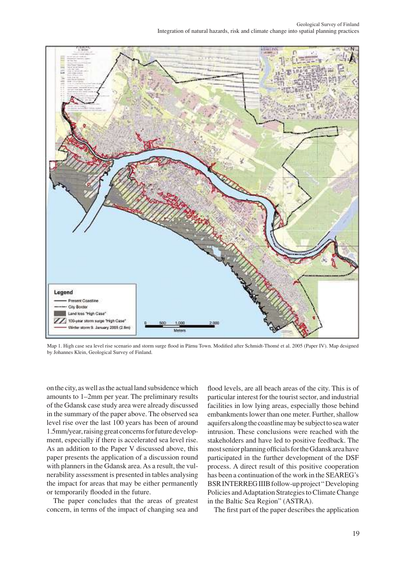

map 1. High case sea level rise scenario and storm surge flood in Pärnu Town. modified after Schmidt-Thomé et al. 2005 (Paper iV). map designed by Johannes Klein, Geological Survey of Finland.

on the city, as well as the actual land subsidence which amounts to 1–2mm per year. The preliminary results of the Gdansk case study area were already discussed in the summary of the paper above. The observed sea level rise over the last 100 years has been of around 1.5mm/year, raising great concerns for future development, especially if there is accelerated sea level rise. As an addition to the Paper V discussed above, this paper presents the application of a discussion round with planners in the Gdansk area. As a result, the vulnerability assessment is presented in tables analysing the impact for areas that may be either permanently or temporarily flooded in the future.

The paper concludes that the areas of greatest concern, in terms of the impact of changing sea and flood levels, are all beach areas of the city. This is of particular interest for the tourist sector, and industrial facilities in low lying areas, especially those behind embankments lower than one meter. Further, shallow aquifers along the coastline may be subject to sea water intrusion. These conclusions were reached with the stakeholders and have led to positive feedback. The most senior planning officials for the Gdansk area have participated in the further development of the DSF process. A direct result of this positive cooperation has been a continuation of the work in the SEAREG's BSR INTERREG IIIB follow-up project "Developing Policies and Adaptation Strategies to climate change in the Baltic Sea Region" (ASTRA).

The first part of the paper describes the application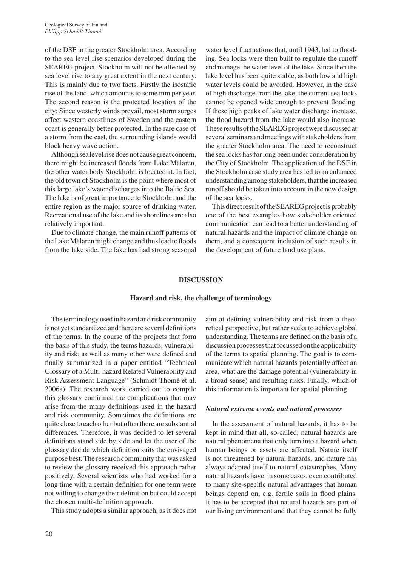of the DSF in the greater Stockholm area. According to the sea level rise scenarios developed during the SEAREG project, Stockholm will not be affected by sea level rise to any great extent in the next century. This is mainly due to two facts. Firstly the isostatic rise of the land, which amounts to some mm per year. The second reason is the protected location of the city: Since westerly winds prevail, most storm surges affect western coastlines of Sweden and the eastern coast is generally better protected. in the rare case of a storm from the east, the surrounding islands would block heavy wave action.

Although sea level rise does not cause great concern, there might be increased floods from Lake Mälaren, the other water body Stockholm is located at. in fact, the old town of Stockholm is the point where most of this large lake's water discharges into the Baltic Sea. The lake is of great importance to Stockholm and the entire region as the major source of drinking water. Recreational use of the lake and its shorelines are also relatively important.

Due to climate change, the main runoff patterns of the Lake mälaren might change and thus lead to floods from the lake side. The lake has had strong seasonal

water level fluctuations that, until 1943, led to flooding. Sea locks were then built to regulate the runoff and manage the water level of the lake. Since then the lake level has been quite stable, as both low and high water levels could be avoided. However, in the case of high discharge from the lake, the current sea locks cannot be opened wide enough to prevent flooding. If these high peaks of lake water discharge increase, the flood hazard from the lake would also increase. These results of the SEAREG project were discussed at several seminars and meetings with stakeholders from the greater Stockholm area. The need to reconstruct the sea locks has for long been under consideration by the City of Stockholm. The application of the DSF in the Stockholm case study area has led to an enhanced understanding among stakeholders, that the increased runoff should be taken into account in the new design of the sea locks.

This direct result of the SEAREG project is probably one of the best examples how stakeholder oriented communication can lead to a better understanding of natural hazards and the impact of climate change on them, and a consequent inclusion of such results in the development of future land use plans.

#### **dISCuSSIOn**

#### **hazard and risk, the challenge of terminology**

The terminology used in hazard and risk community is not yet standardized and there are several definitions of the terms. in the course of the projects that form the basis of this study, the terms hazards, vulnerability and risk, as well as many other were defined and finally summarized in a paper entitled "Technical Glossary of a Multi-hazard Related Vulnerability and Risk Assessment Language" (Schmidt-Thomé et al. 2006a). The research work carried out to compile this glossary confirmed the complications that may arise from the many definitions used in the hazard and risk community. Sometimes the definitions are quite close to each other but often there are substantial differences. Therefore, it was decided to let several definitions stand side by side and let the user of the glossary decide which definition suits the envisaged purpose best. The research community that was asked to review the glossary received this approach rather positively. Several scientists who had worked for a long time with a certain definition for one term were not willing to change their definition but could accept the chosen multi-definition approach.

This study adopts a similar approach, as it does not

aim at defining vulnerability and risk from a theoretical perspective, but rather seeks to achieve global understanding. The terms are defined on the basis of a discussion processes that focussed on the applicability of the terms to spatial planning. The goal is to communicate which natural hazards potentially affect an area, what are the damage potential (vulnerability in a broad sense) and resulting risks. Finally, which of this information is important for spatial planning.

#### *Natural extreme events and natural processes*

In the assessment of natural hazards, it has to be kept in mind that all, so-called, natural hazards are natural phenomena that only turn into a hazard when human beings or assets are affected. Nature itself is not threatened by natural hazards, and nature has always adapted itself to natural catastrophes. Many natural hazards have, in some cases, even contributed to many site-specific natural advantages that human beings depend on, e.g. fertile soils in flood plains. It has to be accepted that natural hazards are part of our living environment and that they cannot be fully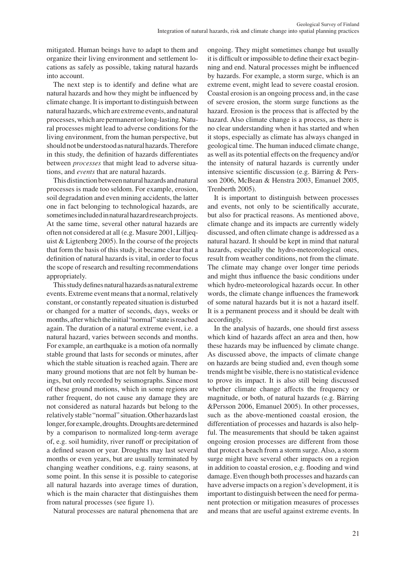mitigated. Human beings have to adapt to them and organize their living environment and settlement locations as safely as possible, taking natural hazards into account.

The next step is to identify and define what are natural hazards and how they might be influenced by climate change. It is important to distinguish between natural hazards, which are extreme events, and natural processes, which are permanent or long-lasting. Natural processes might lead to adverse conditions for the living environment, from the human perspective, but should not be understood as natural hazards. Therefore in this study, the definition of hazards differentiates between *processes* that might lead to adverse situations, and *events* that are natural hazards.

This distinction between natural hazards and natural processes is made too seldom. For example, erosion, soil degradation and even mining accidents, the latter one in fact belonging to technological hazards, are sometimes included in natural hazard research projects. At the same time, several other natural hazards are often not considered at all (e.g. masure 2001, Lilljequist  $&$  Ligtenberg 2005). In the course of the projects that form the basis of this study, it became clear that a definition of natural hazards is vital, in order to focus the scope of research and resulting recommendations appropriately.

This study defines natural hazards as natural extreme events. Extreme event means that a normal, relatively constant, or constantly repeated situation is disturbed or changed for a matter of seconds, days, weeks or months, after which the initial "normal" state is reached again. The duration of a natural extreme event, i.e. a natural hazard, varies between seconds and months. For example, an earthquake is a motion ofa normally stable ground that lasts for seconds or minutes, after which the stable situation is reached again. There are many ground motions that are not felt by human beings, but only recorded by seismographs. Since most of these ground motions, which in some regions are rather frequent, do not cause any damage they are not considered as natural hazards but belong to the relatively stable "normal" situation. Other hazards last longer, for example, droughts. Droughts are determined by a comparison to normalized long-term average of, e.g. soil humidity, river runoff or precipitation of a defined season or year. Droughts may last several months or even years, but are usually terminated by changing weather conditions, e.g. rainy seasons, at some point. In this sense it is possible to categorise all natural hazards into average times of duration, which is the main character that distinguishes them from natural processes (see figure 1).

Natural processes are natural phenomena that are

ongoing. They might sometimes change but usually it is difficult or impossible to define their exact beginning and end. Natural processes might be influenced by hazards. For example, a storm surge, which is an extreme event, might lead to severe coastal erosion. coastal erosion is an ongoing process and, in the case of severe erosion, the storm surge functions as the hazard. Erosion is the process that is affected by the hazard. Also climate change is a process, as there is no clear understanding when it has started and when it stops, especially as climate has always changed in geological time. The human induced climate change, as well as its potential effects on the frequency and/or the intensity of natural hazards is currently under intensive scientific discussion (e.g. Bärring & Persson 2006, McBean & Henstra 2003, Emanuel 2005, Trenberth 2005).

It is important to distinguish between processes and events, not only to be scientifically accurate, but also for practical reasons. As mentioned above, climate change and its impacts are currently widely discussed, and often climate change is addressed as a natural hazard. it should be kept in mind that natural hazards, especially the hydro-meteorological ones, result from weather conditions, not from the climate. The climate may change over longer time periods and might thus influence the basic conditions under which hydro-meteorological hazards occur. In other words, the climate change influences the framework of some natural hazards but it is not a hazard itself. It is a permanent process and it should be dealt with accordingly.

In the analysis of hazards, one should first assess which kind of hazards affect an area and then, how these hazards may be influenced by climate change. As discussed above, the impacts of climate change on hazards are being studied and, even though some trends might be visible, there is no statistical evidence to prove its impact. it is also still being discussed whether climate change affects the frequency or magnitude, or both, of natural hazards (e.g. Bärring &Persson 2006, Emanuel 2005). In other processes, such as the above-mentioned coastal erosion, the differentiation of processes and hazards is also helpful. The measurements that should be taken against ongoing erosion processes are different from those that protect a beach from a storm surge. Also, a storm surge might have several other impacts on a region in addition to coastal erosion, e.g. flooding and wind damage. Even though both processes and hazards can have adverse impacts on a region's development, it is important to distinguish between the need for permanent protection or mitigation measures of processes and means that are useful against extreme events. in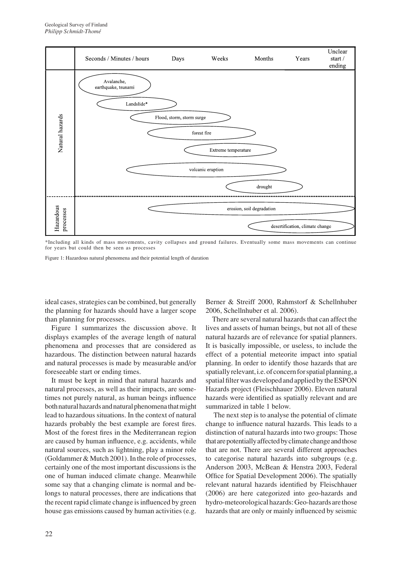

\*including all kinds of mass movements, cavity collapses and ground failures. eventually some mass movements can continue for years but could then be seen as processes

Figure 1: Hazardous natural phenomena and their potential length of duration

ideal cases, strategies can be combined, but generally the planning for hazards should have a larger scope than planning for processes.

Figure 1 summarizes the discussion above. it displays examples of the average length of natural phenomena and processes that are considered as hazardous. The distinction between natural hazards and natural processes is made by measurable and/or foreseeable start or ending times.

It must be kept in mind that natural hazards and natural processes, as well as their impacts, are sometimes not purely natural, as human beings influence both natural hazards and natural phenomena that might lead to hazardous situations. In the context of natural hazards probably the best example are forest fires. Most of the forest fires in the Mediterranean region are caused by human influence, e.g. accidents, while natural sources, such as lightning, play a minor role (Goldammer  $& Mutch 2001$ ). In the role of processes, certainly one of the most important discussions is the one of human induced climate change. Meanwhile some say that a changing climate is normal and belongs to natural processes, there are indications that the recent rapid climate change is influenced by green house gas emissions caused by human activities (e.g.

Berner & Streiff 2000, Rahmstorf & Schellnhuber 2006, Schellnhuber et al. 2006).

There are several natural hazards that can affect the lives and assets of human beings, but not all of these natural hazards are of relevance for spatial planners. It is basically impossible, or useless, to include the effect of a potential meteorite impact into spatial planning. In order to identify those hazards that are spatially relevant, i.e. of concern for spatial planning, a spatial filter was developed and applied by the ESPON Hazards project (Fleischhauer 2006). Eleven natural hazards were identified as spatially relevant and are summarized in table 1 below.

The next step is to analyse the potential of climate change to influence natural hazards. This leads to a distinction of natural hazards into two groups: Those that are potentially affected by climate change and those that are not. There are several different approaches to categorise natural hazards into subgroups (e.g. Anderson 2003, mcBean & Henstra 2003, Federal Office for Spatial Development 2006). The spatially relevant natural hazards identified by Fleischhauer (2006) are here categorized into geo-hazards and hydro-meteorological hazards: Geo-hazards are those hazards that are only or mainly influenced by seismic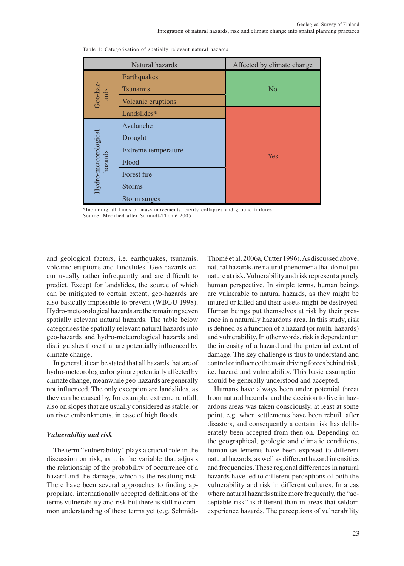| Natural hazards                 |                     | Affected by climate change |
|---------------------------------|---------------------|----------------------------|
| Geo-haz-<br>ards                | Earthquakes         |                            |
|                                 | <b>Tsunamis</b>     | N <sub>o</sub>             |
|                                 | Volcanic eruptions  |                            |
|                                 | Landslides*         |                            |
| Hydro-meteorological<br>hazards | Avalanche           |                            |
|                                 | Drought             | Yes                        |
|                                 | Extreme temperature |                            |
|                                 | Flood               |                            |
|                                 | Forest fire         |                            |
|                                 | <b>Storms</b>       |                            |
|                                 | Storm surges        |                            |

Table 1: categorisation of spatially relevant natural hazards

\*including all kinds of mass movements, cavity collapses and ground failures Source: modified after Schmidt-Thomé 2005

and geological factors, i.e. earthquakes, tsunamis, volcanic eruptions and landslides. Geo-hazards occur usually rather infrequently and are difficult to predict. Except for landslides, the source of which can be mitigated to certain extent, geo-hazards are also basically impossible to prevent (WBGU 1998). Hydro-meteorological hazards are the remaining seven spatially relevant natural hazards. The table below categorises the spatially relevant natural hazards into geo-hazards and hydro-meteorological hazards and distinguishes those that are potentially influenced by climate change.

In general, it can be stated that all hazards that are of hydro-meteorological origin are potentially affected by climate change, meanwhile geo-hazards are generally not influenced. The only exception are landslides, as they can be caused by, for example, extreme rainfall, also on slopes that are usually considered as stable, or on river embankments, in case of high floods.

#### *Vulnerability and risk*

The term "vulnerability" plays a crucial role in the discussion on risk, as it is the variable that adjusts the relationship of the probability of occurrence of a hazard and the damage, which is the resulting risk. There have been several approaches to finding appropriate, internationally accepted definitions of the terms vulnerability and risk but there is still no common understanding of these terms yet (e.g. SchmidtThomé et al. 2006a, Cutter 1996). As discussed above, natural hazards are natural phenomena that do not put nature at risk. Vulnerability and risk represent a purely human perspective. In simple terms, human beings are vulnerable to natural hazards, as they might be injured or killed and their assets might be destroyed. Human beings put themselves at risk by their presence in a naturally hazardous area. in this study, risk is defined as a function of a hazard (or multi-hazards) and vulnerability. In other words, risk is dependent on the intensity of a hazard and the potential extent of damage. The key challenge is thus to understand and control or influence the main driving forces behind risk, i.e. hazard and vulnerability. This basic assumption should be generally understood and accepted.

Humans have always been under potential threat from natural hazards, and the decision to live in hazardous areas was taken consciously, at least at some point, e.g. when settlements have been rebuilt after disasters, and consequently a certain risk has deliberately been accepted from then on. Depending on the geographical, geologic and climatic conditions, human settlements have been exposed to different natural hazards, as well as different hazard intensities and frequencies. These regional differences in natural hazards have led to different perceptions of both the vulnerability and risk in different cultures. In areas where natural hazards strike more frequently, the "acceptable risk" is different than in areas that seldom experience hazards. The perceptions of vulnerability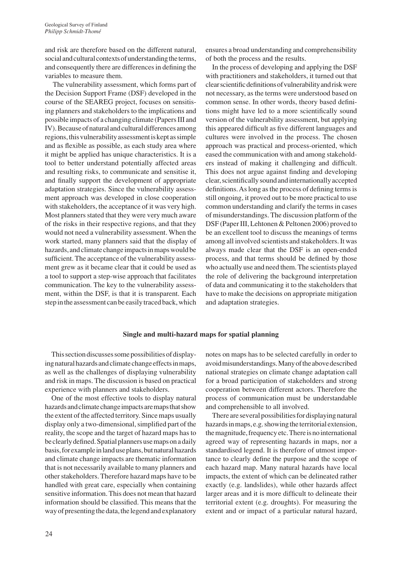and risk are therefore based on the different natural, social and cultural contexts of understanding the terms, and consequently there are differences in defining the variables to measure them.

The vulnerability assessment, which forms part of the Decision Support Frame (DSF) developed in the course of the SeAreG project, focuses on sensitising planners and stakeholders to the implications and possible impacts of a changing climate (Papers III and IV). Because of natural and cultural differences among regions, this vulnerability assessment is kept as simple and as flexible as possible, as each study area where it might be applied has unique characteristics. it is a tool to better understand potentially affected areas and resulting risks, to communicate and sensitise it, and finally support the development of appropriate adaptation strategies. Since the vulnerability assessment approach was developed in close cooperation with stakeholders, the acceptance of it was very high. Most planners stated that they were very much aware of the risks in their respective regions, and that they would not need a vulnerability assessment. When the work started, many planners said that the display of hazards, and climate change impacts in maps would be sufficient. The acceptance of the vulnerability assessment grew as it became clear that it could be used as a tool to support a step-wise approach that facilitates communication. The key to the vulnerability assessment, within the DSF, is that it is transparent. Each step in the assessment can be easily traced back, which ensures a broad understanding and comprehensibility of both the process and the results.

In the process of developing and applying the DSF with practitioners and stakeholders, it turned out that clearscientificdefinitionsofvulnerabilityandriskwere not necessary, as the terms were understood based on common sense. in other words, theory based definitions might have led to a more scientifically sound version of the vulnerability assessment, but applying this appeared difficult as five different languages and cultures were involved in the process. The chosen approach was practical and process-oriented, which eased the communication with and among stakeholders instead of making it challenging and difficult. This does not argue against finding and developing clear,scientificallysoundandinternationallyaccepted definitions. As long as the process of defining terms is still ongoing, it proved out to be more practical to use common understanding and clarify the terms in cases of misunderstandings. The discussion platform of the DSF (Paper III, Lehtonen & Peltonen 2006) proved to be an excellent tool to discuss the meanings of terms among all involved scientists and stakeholders. it was always made clear that the DSF is an open-ended process, and that terms should be defined by those who actually use and need them. The scientists played the role of delivering the background interpretation of data and communicating it to the stakeholders that have to make the decisions on appropriate mitigation and adaptation strategies.

#### **Single and multi-hazard maps for spatial planning**

This section discusses some possibilities of displaying natural hazards and climate change effects in maps, as well as the challenges of displaying vulnerability and risk in maps. The discussion is based on practical experience with planners and stakeholders.

One of the most effective tools to display natural hazards and climate change impacts are maps that show the extent of the affected territory. Since maps usually display only a two-dimensional, simplified part of the reality, the scope and the target of hazard maps has to be clearly defined. Spatial planners use maps on a daily basis, for example in land use plans, but natural hazards and climate change impacts are thematic information that is not necessarily available to many planners and other stakeholders. Therefore hazard maps have to be handled with great care, especially when containing sensitive information. This does not mean that hazard information should be classified. This means that the way of presenting the data, the legend and explanatory notes on maps has to be selected carefully in order to avoid misunderstandings. Many of the above described national strategies on climate change adaptation call for a broad participation of stakeholders and strong cooperation between different actors. Therefore the process of communication must be understandable and comprehensible to all involved.

There are several possibilities for displaying natural hazards in maps, e.g. showing the territorial extension, the magnitude, frequency etc. There is no international agreed way of representing hazards in maps, nor a standardised legend. It is therefore of utmost importance to clearly define the purpose and the scope of each hazard map. Many natural hazards have local impacts, the extent of which can be delineated rather exactly (e.g. landslides), while other hazards affect larger areas and it is more difficult to delineate their territorial extent (e.g. droughts). For measuring the extent and or impact of a particular natural hazard,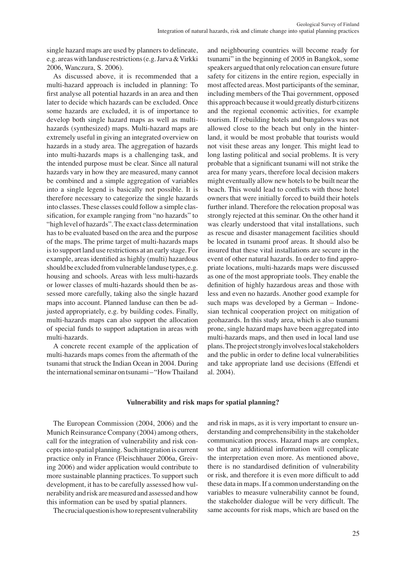single hazard maps are used by planners to delineate, e.g. areaswithlanduse restrictions(e.g.Jarva&Virkki 2006, Wanczura, S. 2006).

As discussed above, it is recommended that a multi-hazard approach is included in planning: To first analyse all potential hazards in an area and then later to decide which hazards can be excluded. Once some hazards are excluded, it is of importance to develop both single hazard maps as well as multihazards (synthesized) maps. Multi-hazard maps are extremely useful in giving an integrated overview on hazards in a study area. The aggregation of hazards into multi-hazards maps is a challenging task, and the intended purpose must be clear. Since all natural hazards vary in how they are measured, many cannot be combined and a simple aggregation of variables into a single legend is basically not possible. It is therefore necessary to categorize the single hazards into classes. These classes could follow a simple classification, for example ranging from "no hazards" to "high level of hazards". The exact class determination has to be evaluated based on the area and the purpose of the maps. The prime target of multi-hazards maps is to support land use restrictions at an early stage. For example, areas identified as highly (multi) hazardous should be excluded from vulnerable landuse types, e.g. housing and schools. Areas with less multi-hazards or lower classes of multi-hazards should then be assessed more carefully, taking also the single hazard maps into account. Planned landuse can then be adjusted appropriately, e.g. by building codes. Finally, multi-hazards maps can also support the allocation of special funds to support adaptation in areas with multi-hazards.

A concrete recent example of the application of multi-hazards maps comes from the aftermath of the tsunami that struck the Indian Ocean in 2004. During the international seminar on tsunami-"How Thailand and neighbouring countries will become ready for tsunami" in the beginning of 2005 in Bangkok, some speakers argued that only relocation can ensure future safety for citizens in the entire region, especially in most affected areas. Most participants of the seminar, including members of the Thai government, opposed this approach because it would greatly disturb citizens and the regional economic activities, for example tourism. if rebuilding hotels and bungalows was not allowed close to the beach but only in the hinterland, it would be most probable that tourists would not visit these areas any longer. This might lead to long lasting political and social problems. It is very probable that a significant tsunami will not strike the area for many years, therefore local decision makers might eventually allow new hotels to be built near the beach. This would lead to conflicts with those hotel owners that were initially forced to build their hotels further inland. Therefore the relocation proposal was strongly rejected at this seminar. On the other hand it was clearly understood that vital installations, such as rescue and disaster management facilities should be located in tsunami proof areas. it should also be insured that these vital installations are secure in the event of other natural hazards. In order to find appropriate locations, multi-hazards maps were discussed as one of the most appropriate tools. They enable the definition of highly hazardous areas and those with less and even no hazards. Another good example for such maps was developed by a German – Indonesian technical cooperation project on mitigation of geohazards. in this study area, which is also tsunami prone, single hazard maps have been aggregated into multi-hazards maps, and then used in local land use plans. The project strongly involves local stakeholders and the public in order to define local vulnerabilities and take appropriate land use decisions (Effendi et al. 2004).

## **Vulnerability and risk maps for spatial planning?**

The European Commission (2004, 2006) and the Munich Reinsurance Company (2004) among others, call for the integration of vulnerability and risk concepts into spatial planning. Such integration is current practice only in France (Fleischhauer 2006a, Greiving 2006) and wider application would contribute to more sustainable planning practices. To support such development, it has to be carefully assessed how vulnerability and risk are measured and assessed and how this information can be used by spatial planners.

The crucial question is how to represent vulnerability

and risk in maps, as it is very important to ensure understanding and comprehensibility in the stakeholder communication process. Hazard maps are complex, so that any additional information will complicate the interpretation even more. As mentioned above, there is no standardised definition of vulnerability or risk, and therefore it is even more difficult to add these data in maps. if a common understanding on the variables to measure vulnerability cannot be found, the stakeholder dialogue will be very difficult. The same accounts for risk maps, which are based on the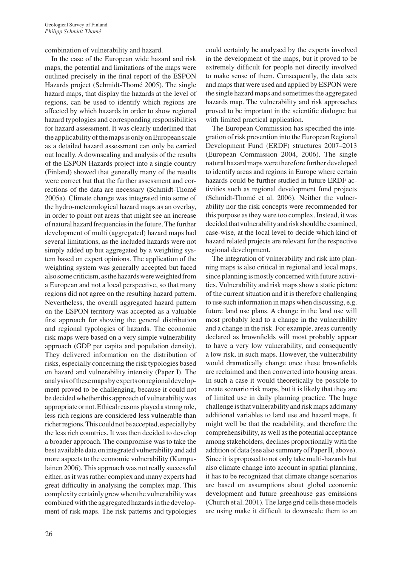combination of vulnerability and hazard.

In the case of the European wide hazard and risk maps, the potential and limitations of the maps were outlined precisely in the final report of the ESPON Hazards project (Schmidt-Thomé 2005). The single hazard maps, that display the hazards at the level of regions, can be used to identify which regions are affected by which hazards in order to show regional hazard typologies and corresponding responsibilities for hazard assessment. it was clearly underlined that the applicability of the maps is only on European scale as a detailed hazard assessment can only be carried out locally. A downscaling and analysis of the results of the eSPon Hazards project into a single country (Finland) showed that generally many of the results were correct but that the further assessment and corrections of the data are necessary (Schmidt-Thomé 2005a). climate change was integrated into some of the hydro-meteorological hazard maps as an overlay, in order to point out areas that might see an increase of natural hazard frequencies in the future. The further development of multi (aggregated) hazard maps had several limitations, as the included hazards were not simply added up but aggregated by a weighting system based on expert opinions. The application of the weighting system was generally accepted but faced also some criticism, as the hazards were weighted from a European and not a local perspective, so that many regions did not agree on the resulting hazard pattern. Nevertheless, the overall aggregated hazard pattern on the ESPON territory was accepted as a valuable first approach for showing the general distribution and regional typologies of hazards. The economic risk maps were based on a very simple vulnerability approach (GDP per capita and population density). They delivered information on the distribution of risks, especially concerning the risk typologies based on hazard and vulnerability intensity (Paper I). The analysis of these maps by experts on regional development proved to be challenging, because it could not be decided whether this approach of vulnerability was appropriate or not. Ethical reasons played a strong role, less rich regions are considered less vulnerable than richer regions. This could not be accepted, especially by the less rich countries. it was then decided to develop a broader approach. The compromise was to take the best available data on integrated vulnerability and add more aspects to the economic vulnerability (Kumpulainen 2006). This approach was not really successful either, as it was rather complex and many experts had great difficulty in analysing the complex map. This complexity certainly grewwhen the vulnerabilitywas combined with the aggregated hazards in the development of risk maps. The risk patterns and typologies could certainly be analysed by the experts involved in the development of the maps, but it proved to be extremely difficult for people not directly involved to make sense of them. consequently, the data sets and maps that were used and applied by ESPON were the single hazard maps and sometimes the aggregated hazards map. The vulnerability and risk approaches proved to be important in the scientific dialogue but with limited practical application.

The European Commission has specified the integration of risk prevention into the European Regional Development Fund (ERDF) structures 2007–2013 (European Commission 2004, 2006). The single natural hazard maps were therefore further developed to identify areas and regions in Europe where certain hazards could be further studied in future ERDF activities such as regional development fund projects (Schmidt-Thomé et al. 2006). Neither the vulnerability nor the risk concepts were recommended for this purpose as they were too complex. Instead, it was decided that vulnerability and risk should be examined, case-wise, at the local level to decide which kind of hazard related projects are relevant for the respective regional development.

The integration of vulnerability and risk into planning maps is also critical in regional and local maps, since planning is mostly concerned with future activities. Vulnerability and risk maps show a static picture of the current situation and it is therefore challenging to use such information in maps when discussing, e.g. future land use plans. A change in the land use will most probably lead to a change in the vulnerability and a change in the risk. For example, areas currently declared as brownfields will most probably appear to have a very low vulnerability, and consequently a low risk, in such maps. However, the vulnerability would dramatically change once these brownfields are reclaimed and then converted into housing areas. In such a case it would theoretically be possible to create scenario risk maps, but it is likely that they are of limited use in daily planning practice. The huge challenge is that vulnerability and risk maps add many additional variables to land use and hazard maps. it might well be that the readability, and therefore the comprehensibility, as well as the potential acceptance among stakeholders, declines proportionally with the addition of data (see also summary of Paper II, above). Since it is proposed to not only take multi-hazards but also climate change into account in spatial planning, it has to be recognized that climate change scenarios are based on assumptions about global economic development and future greenhouse gas emissions (church et al. 2001). The large grid cells these models are using make it difficult to downscale them to an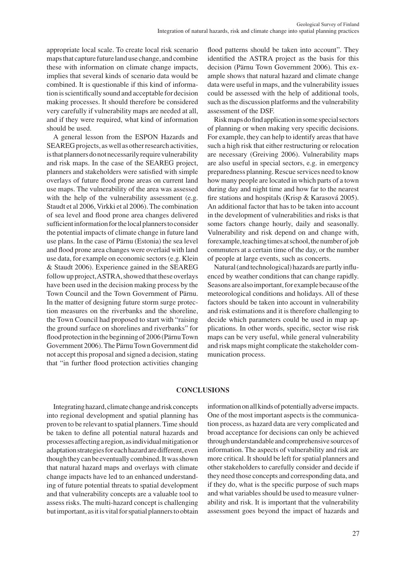appropriate local scale. To create local risk scenario maps that capture future land use change, and combine these with information on climate change impacts, implies that several kinds of scenario data would be combined. it is questionable if this kind of information is scientifically sound and acceptable for decision making processes. it should therefore be considered very carefully if vulnerability maps are needed at all, and if they were required, what kind of information should be used.

A general lesson from the eSPon Hazards and SEAREG projects, as well as other research activities, is that planners do not necessarily require vulnerability and risk maps. In the case of the SEAREG project, planners and stakeholders were satisfied with simple overlays of future flood prone areas on current land use maps. The vulnerability of the area was assessed with the help of the vulnerability assessment (e.g. Staudt et al 2006, Virkki et al 2006). The combination of sea level and flood prone area changes delivered sufficient information for the local planners to consider the potential impacts of climate change in future land use plans. In the case of Pärnu (Estonia) the sea level and flood prone area changes were overlaid with land use data, for example on economic sectors (e.g. Klein & Staudt 2006). experience gained in the SeAreG follow up project, ASTRA, showed that these overlays have been used in the decision making process by the Town council and the Town Government of Pärnu. In the matter of designing future storm surge protection measures on the riverbanks and the shoreline, the Town council had proposed to start with "raising the ground surface on shorelines and riverbanks" for flood protection in the beginning of 2006 (Pärnu Town Government 2006). The Pärnu Town Government did not accept this proposal and signed a decision, stating that "in further flood protection activities changing

flood patterns should be taken into account". They identified the ASTRA project as the basis for this decision (Pärnu Town Government 2006). This example shows that natural hazard and climate change data were useful in maps, and the vulnerability issues could be assessed with the help of additional tools, such as the discussion platforms and the vulnerability assessment of the DSF.

Risk maps do find application in some special sectors of planning or when making very specific decisions. For example, they can help to identify areas that have such a high risk that either restructuring or relocation are necessary (Greiving 2006). Vulnerability maps are also useful in special sectors, e.g. in emergency preparedness planning. Rescue services need to know how many people are located in which parts of a town during day and night time and how far to the nearest fire stations and hospitals (Krisp & Karasová 2005). An additional factor that has to be taken into account in the development of vulnerabilities and risks is that some factors change hourly, daily and seasonally. Vulnerability and risk depend on and change with, forexample, teaching times at school, the number of job commuters at a certain time of the day, or the number of people at large events, such as concerts.

Natural (and technological) hazards are partly influenced by weather conditions that can change rapidly. Seasons are also important, for example because of the meteorological conditions and holidays. All of these factors should be taken into account in vulnerability and risk estimations and it is therefore challenging to decide which parameters could be used in map applications. in other words, specific, sector wise risk maps can be very useful, while general vulnerability and risk maps might complicate the stakeholder communication process.

## **COnCLuSIOnS**

Integrating hazard, climate change and risk concepts into regional development and spatial planning has proven to be relevant to spatial planners. Time should be taken to define all potential natural hazards and processesaffectingaregion,asindividualmitigationor adaptationstrategiesfor eachhazardaredifferent, even though they can be eventually combined. It was shown that natural hazard maps and overlays with climate change impacts have led to an enhanced understanding of future potential threats to spatial development and that vulnerability concepts are a valuable tool to assess risks. The multi-hazard concept is challenging but important, as it is vital for spatial planners to obtain

information on all kinds of potentially adverse impacts. One of the most important aspects is the communication process, as hazard data are very complicated and broad acceptance for decisions can only be achieved through understandable and comprehensive sources of information. The aspects of vulnerability and risk are more critical. It should be left for spatial planners and other stakeholders to carefully consider and decide if they need those concepts and corresponding data, and if they do, what is the specific purpose of such maps and what variables should be used to measure vulnerability and risk. it is important that the vulnerability assessment goes beyond the impact of hazards and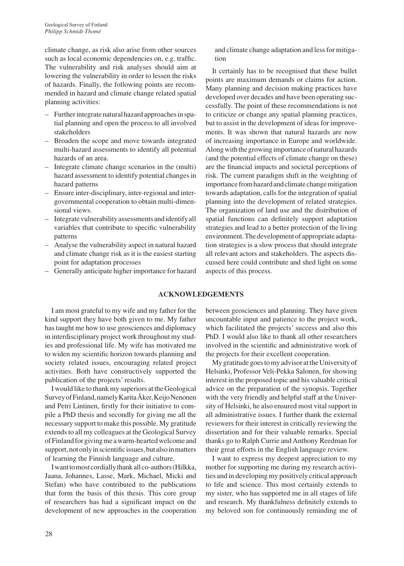climate change, as risk also arise from other sources such as local economic dependencies on, e.g. traffic. The vulnerability and risk analyses should aim at lowering the vulnerability in order to lessen the risks of hazards. Finally, the following points are recommended in hazard and climate change related spatial planning activities:

- Further integrate natural hazard approaches in spatial planning and open the process to all involved stakeholders
- Broaden the scope and move towards integrated multi-hazard assessments to identify all potential hazards of an area.
- integrate climate change scenarios in the (multi) hazard assessment to identify potential changes in hazard patterns
- Ensure inter-disciplinary, inter-regional and intergovernmental cooperation to obtain multi-dimensional views.
- Integrate vulnerability assessments and identify all variables that contribute to specific vulnerability patterns
- Analyse the vulnerability aspect in natural hazard and climate change risk as it is the easiest starting point for adaptation processes
- Generally anticipate higher importance for hazard

and climate change adaptation and less for mitigation

It certainly has to be recognised that these bullet points are maximum demands or claims for action. Many planning and decision making practices have developed over decades and have been operating successfully. The point of these recommendations is not to criticize or change any spatial planning practices, but to assist in the development of ideas for improvements. it was shown that natural hazards are now of increasing importance in Europe and worldwide. Along with the growing importance of natural hazards (and the potential effects of climate change on these) are the financial impacts and societal perceptions of risk. The current paradigm shift in the weighting of importance from hazard and climate change mitigation towards adaptation, calls for the integration of spatial planning into the development of related strategies. The organization of land use and the distribution of spatial functions can definitely support adaptation strategies and lead to a better protection of the living environment. The development of appropriate adaptation strategies is a slow process that should integrate all relevant actors and stakeholders. The aspects discussed here could contribute and shed light on some aspects of this process.

## **aCknOwLedgemenTS**

I am most grateful to my wife and my father for the kind support they have both given to me. My father has taught me how to use geosciences and diplomacy in interdisciplinary project work throughout my studies and professional life. My wife has motivated me to widen my scientific horizon towards planning and society related issues, encouraging related project activities. Both have constructively supported the publication of the projects' results.

I would like to thank my superiors at the Geological Survey of Finland, namely Karita Åker, Keijo Nenonen and Petri Lintinen, firstly for their initiative to compile a PhD thesis and secondly for giving me all the necessary support to make this possible. my gratitude extends to all my colleagues at the Geological Survey of Finland for giving me a warm-hearted welcome and support, not only in scientific issues, but also in matters of learning the Finnish language and culture.

I want to most cordially thank all co-authors (Hilkka, Jaana, Johannes, Lasse, mark, michael, micki and Stefan) who have contributed to the publications that form the basis of this thesis. This core group of researchers has had a significant impact on the development of new approaches in the cooperation between geosciences and planning. They have given uncountable input and patience to the project work, which facilitated the projects' success and also this PhD. I would also like to thank all other researchers involved in the scientific and administrative work of the projects for their excellent cooperation.

my gratitude goes to my advisor at the University of Helsinki, Professor Veli-Pekka Salonen, for showing interest in the proposed topic and his valuable critical advice on the preparation of the synopsis. Together with the very friendly and helpful staff at the University of Helsinki, he also ensured most vital support in all administrative issues. I further thank the external reviewers for their interest in critically reviewing the dissertation and for their valuable remarks. Special thanks go to Ralph Currie and Anthony Reedman for their great efforts in the English language review.

I want to express my deepest appreciation to my mother for supporting me during my research activities and in developing my positively critical approach to life and science. This most certainly extends to my sister, who has supported me in all stages of life and research. my thankfulness definitely extends to my beloved son for continuously reminding me of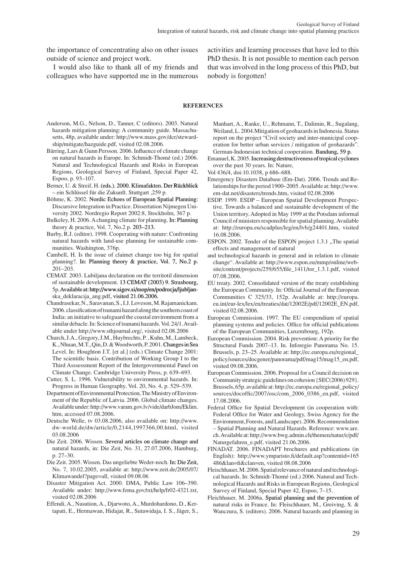the importance of concentrating also on other issues outside of science and project work.

I would also like to thank all of my friends and colleagues who have supported me in the numerous activities and learning processes that have led to this PhD thesis. It is not possible to mention each person that was involved in the long process of this PhD, but nobody is forgotten!

#### **RefeRenCeS**

- Anderson, M.G., Nelson, D., Tanner, C (editors). 2003. Natural hazards mitigation planning: A community guide. Massachusetts, 48p, available under: http://www.mass.gov/dcr/stewardship/mitigate/hazguide.pdf, visited 02.08.2006.
- Bärring, Lars & Gunn Persson. 2006. influence of climate change on natural hazards in Europe. In: Schmidt-Thomé (ed.) 2006. Natural and Technological Hazards and Risks in European Regions, Geological Survey of Finland, Special Paper 42, Espoo, p. 93–107.
- Berner, U. & Streif, H. (eds.). 2000. Klimafakten. Der Rückblick – ein Schl�ssel f�r die Zukunft. Stuttgart ,259 p.
- Böhme, K. 2002. Nordic Echoes of European Spatial Planning: Discursive Integration in Practice. Dissertation Nijmegen University 2002. Nordregio Report 2002:8, Stockholm, 367 p.
- Bulkeley, H. 2006. A changing climate for planning. In: Planning theory & practice, Vol. 7, no.2 p. 203–213.
- Burby, R.J. (editor). 1998. Cooperating with nature: Confronting natural hazards with land-use planning for sustainable communities. Washington, 376p.
- cambell, H. is the issue of claimet change too big for spatial planning?. In: Planning theory & practice, Vol. 7, No.2 p. 201–203.
- CEMAT. 2003. Lubiljana declaration on the territotil dimension of sustainable development. 13 CEMAT (2003) 9. Strasbourg, 5p. Available at: http://www.sigov.si/mop/en/podrocja/ljubljanska\_deklaracija\_ang.pdf, visited 21.06.2006.
- Chandrasekar, N., Saravanan, S., I.J. Loveson, M. Rajamanickam. 2006.classificationoftsunamihazardalongthe southerncoastof India: an initiative to safeguard the coastal environment from a similar debacle. In: Science of tsunami hazards. Vol. 24/1. Available under http://www.sthjournal.org/, visited 02.08.2006
- church, J.A., Gregory, J.m., Huybrechts, P. , Kuhn, m., Lambeck, K., Nhuan, M.T., Qin, D. & Woodworth, P. 2001. Changes in Sea Level. In: Houghton J.T. [et al.] (eds.) Climate Change 2001: The scientific basis. Contribution of Working Group I to the Third Asssessment Report of the Intergovernmental Panel on climate change. cambridge University Press, p. 639–693.
- cutter, S. L. 1996. Vulnerability to environmental hazards. in: Progress in Human Geography, Vol. 20, No. 4, p. 529–539.
- Department of Environmental Protection, The Ministry of Environment of the Republic of Latvia. 2006. Global climate changes. Available under: http://www.varam.gov.lv/vide/darbJom/Eklim. htm, accessed 07.08.2006.
- Deutsche Welle, tv 03.08.2006, also available on: http://www. dw-world.de/dw/article/0,2144,1997366,00.html, visited 03.08.2006
- Die Zeit. 2006. Wissen. Several articles on climate change and natural hazards, in: Die Zeit, No. 31, 27.07.2006, Hamburg, p. 27–30.
- Die Zeit. 2005. Wissen. Das ungeliebte Weder-noch. In: Die Zeit, no. 7, 10.02.2005, available at: http://www.zeit.de/2005/07/ Klimawandel?page=all, visited 09.08.06
- Disaster Mitigation Act. 2000. DMA, Public Law 106–390. Available under: http://www.fema.gov/txt/help/fr02-4321.txt, visited 02.08.2006
- Effendi, A., Nasution, A., Djarwoto, A., Murdohardono, D., Kertapati, E., Hermawan, Hidajat, R., Sutawidaja, I. S., Jäger, S.,

Manhart, A., Ranke, U., Rehmann, T., Dalimin, R., Sugalang, Weiland, L. 2004. Mitigation of geohazards in Indonesia. Status report on the project "Civil society and inter-municipal cooperation for better urban services / mitigation of geohazards". German-Indonesian technical cooperation. Bandung, 59 p.

- Emanuel, K. 2005. Increasing destructiveness of tropical cyclones over the past 30 years. In: Nature,
- Vol 436/4, doi:10.1038, p 686–688.
- Emergency Disasters Database (Em-Dat). 2006. Trends and Relationships for the period 1900–2005. Available at: http://www. em-dat.net/disasters/trends.htm, visited 02.08.2006
- ESDP. 1999. ESDP European Spatial Development Perspective. Towards a balanced and sustainable development of the Union territory. Adopted in May 1999 at the Potsdam informal council of ministers responsible for spatial planning. Available at: http://europa.eu/scadplus/leg/en/lvb/g24401.htm, visited 16.08.2006.
- ESPON. 2002. Tender of the ESPON project 1.3.1 "The spatial effects and management of natural
- and technological hazards in general and in relation to climate change". Available at: http://www.espon.eu/mmp/online/website/content/projects/259/655/file\_1411/tor\_1.3.1.pdf, visited 07.08.2006.
- EU treaty. 2002. Consolidated version of the treaty establishing the European Community. In: Official Journal of the European communities c 325/33, 152p. Available at: http://europa. eu.int/eur-lex/lex/en/treaties/dat/12002E/pdf/12002E\_EN.pdf, visited 02.08.2006.
- European Commission. 1997. The EU compendium of spatial planning systems and policies. office for official publications of the European Communities, Luxembourg, 192p.
- European Commission. 2004. Risk prevention: A priority for the Structural Funds 2007–13. In. Inforegio Panorama No. 15. Brussels, p. 23–25. Available at: http://ec.europa.eu/regional\_ policy/sources/docgener/panorama/pdf/mag15/mag15\_en.pdf, visited 09.08.2006.
- European Commission. 2006. Proposal for a Council decision on Community strategic guidelines on cohesion {SEC(2006)929}. Brussels,65p. available at:http://ec.europa.eu/regional\_policy/ sources/docoffic/2007/osc/com\_2006\_0386\_en.pdf, visited 17.08.2006.
- Federal Office for Spatial Development (in cooperation with: Federal office for Water and Geology, Swiss Agency for the Environment, Forests, and Landscape). 2006. Recommendation – Spatial Planning and Natural Hazards. Reference: www.are. ch.Available at:http://www.bwg.admin.ch/themen/natur/e/pdf/ Naturgefahren\_e.pdf, visited 21.06.2006.
- FinAdAT. 2006. FinAdAPT brochures and publications (in English): http://www.ymparisto.fi/default.asp?contentid=165 486&lan=fi&clan=en, visited 08.08.2006
- Fleischhauer, M. 2006. Spatial relevance of natural and technological hazards. In: Schmidt-Thomé (ed.) 2006. Natural and Technological Hazards and Risks in European Regions, Geological Survey of Finland, Special Paper 42, Espoo, 7–15.
- Fleichhauer, M. 2006a. Spatial planning and the prevention of natural risks in France. In: Fleischhauer, M., Greiving, S. & Wanczura, S. (editors). 2006. Natural hazards and planning in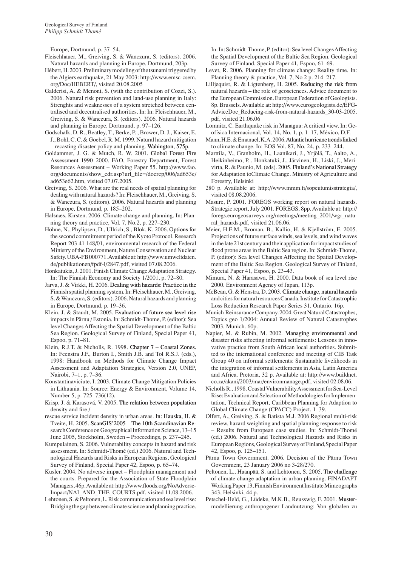Europe, Dortmund, p. 37–54.

- Fleischhauer, m., Greiving, S. & Wanczura, S. (editors). 2006. Natural hazards and planning in Europe, Dortmund, 203p.
- Hébert, H. 2003. Preliminary modeling of the tsunami triggered by the Algiers earthquake, 21 may 2003: http://www.emsc-csem. org/Doc/HEBERT/, visited 20.08.2005
- Galderisi, A. & Menoni, S. (with the contribution of Cozzi, S.). 2006. Natural risk prevention and land-use planning in Italy: Strenghts and weaknesses of a system stretched between centralised and decentralised authorities. In: In: Fleischhauer, M., Greiving, S. & Wanczura, S. (editors). 2006. Natural hazards and planning in Europe, Dortmund, p. 97-126.
- Godschalk, D. R., Beatley, T., Berke, P., Brower, D. J., Kaiser, E. J., Bohl, C. C. & Goebel, R. M. 1999. Natural hazard mitigation – recasting disaster policy and planning. Wahington, 575p.
- Goldammer, J. G. & Mutch, R. W. 2001. Global Forest Fire Assessment 1990–2000. FAo, Forestry department, Forest Resources Assessment – Working Paper 55. http://www.fao. org/documents/show\_cdr.asp?url\_file=/docrep/006/ad653e/ ad653e62.htm, visited 07.07.2005.
- Greiving, S. 2006. What are the real needs of spatial planning for dealing with natural hazards? In: Fleischhauer, M., Greiving, S. & Wanczura, S. (editors). 2006. natural hazards and planning in Europe, Dortmund, p. 185–202.
- Halsnæs, Kirsten. 2006. Climate change and planning. In: Planning theory and practice, Vol. 7, No.2, p. 227–230.
- Höhne, N., Phylipsen, D., Ullrich, S., Blok, K. 2006. Options for the second commitment period of the Kyoto Protocol. Research Report 203 41 148/01, environmental research of the Federal Ministry of the Environment, Nature Conservation and Nuclear Safety.UBA-FB000771.Availableat:http://www.umweltdaten. de/publikationen/fpdf-l/2847.pdf, visited 07.08.2006.
- Honkatukia, J. 2001. Finish climate change Adaptation Strategy. In: The Finnish Economy and Society 1/2001, p. 72-80.
- Jarva, J. & Virkki, H. 2006. Dealing with hazards: Practice in the Finnish spatial planning system. In: Fleischhauer, M., Greiving, S. & Wanczura, S. (editors). 2006. Natural hazards and planning in Europe, Dortmund, p. 19–36.
- Klein, J. & Staudt, M. 2005. Evaluation of future sea level rise impacts in Pärnu / Estonia. In: Schmidt-Thome, P. (editor): Sea level Changes Affecting the Spatial Development of the Baltic Sea Region. Geological Survey of Finland, Special Paper 41, espoo, p. 71–81.
- Klein, R.J.T. & Nicholls, R. 1998. Chapter  $7$  Coastal Zones. In: Feenstra J.F., Burton I., Smith J.B. and Tol R.S.J. (eds.), 1998: Handbook on Methods for Climate Change Impact Assessment and Adaptation Strategies, Version 2.0, UNEP, Nairobi, 7-1, p. 7-36.
- Konstantinaviciute, I. 2003. Climate Change Mitigation Policies in Lithuania. In: Source: Energy & Environment, Volume 14, number 5, p. 725–736(12).
- Krisp, J. & Karasová, V. 2005. The relation between population density and fire /
- rescue service incident density in urban areas. In: Hauska, H. & Tveite, H. 2005. ScanGIS' 2005 - The 10th Scandinavian Research Conference on Geographical Information Science, 13–15 June 2005, Stockholm, Sweden – Proceedings, p. 237–245.
- Kumpulainen, S. 2006. Vulnerability concepts in hazard and risk assessment. In: Schmidt-Thomé (ed.) 2006. Natural and Technological Hazards and Risks in European Regions, Geological Survey of Finland, Special Paper 42, Espoo, p. 65-74.
- Kusler. 2004. No adverse impact Floodplain management and the courts. Prepared for the Association of State Floodplain Managers, 46p. Available at: http://www.floods.org/NoAdverse-Impact/NAI\_AND\_THE\_COURTS.pdf, visited 11.08.2006.
- Lehtonen, S. & Peltonen, L. Risk communication and sea level rise: Bridging the gap between climate science and planning practice.

In: In: Schmidt-Thome, P. (editor): Sea level Changes Affecting the Spatial Development of the Baltic Sea Region. Geological Survey of Finland, Special Paper 41, Espoo, 61-69.

- Levet, R. 2006. Planning for climate change: Reality time. In: Planning theory & practice, Vol. 7, No 2 p. 214–217.
- Lilljequist, R. & Ligtenberg, H. 2005. Reducing the risk from natural hazards – the role of geosciences. Advice document to the European Commission. European Federation of Geologists. 8p. Brussels. Available at: http://www.eurogeologists.de/EFG-AdviceDoc\_Reducing-risk-from-natural-hazards\_30-03-2005. pdf, visited 21.06.06
- Lomnitz, C. Earthquake risk in Managua: A critical view. In: Geofísica Internacional, Vol. 14, No. 1, p. 1–17, México, D.F.
- Mann, H.E. & Emanuel, K.A. 2006. Atlantic hurricane trends linked to climate change. In: EOS Vol. 87, No. 24, p. 233-244.
- marttila, V., Granholm, H., Laanikari, J., Yrjölä, T., Aalto, A., Heikinheimo, P. , Honkatuki, J., Järvinen, H., Liski, J., merivirta, R. & Paunio, M. (eds). 2005. Finland's National Strategy for Adaptation toClimate Change. Ministry of Agriculture and Forestry, Helsinki
- 280 p. Available at: http://www.mmm.fi/sopeutumisstrategia/, visited 08.08.2006.
- Masure, P. 2001. FOREGS working report on natural hazards. Strategic report, July 2001. FOREGS, 8pp. Available at: http:// foregs.eurogeosurveys.org/meetings/meeting\_2001/wgr\_natural\_hazards.pdf, visited 21.06.06.
- Meier, H.E.M., Broman, B., Kallio, H. & Kjellström, E. 2005. Projections of future surface winds, sea levels, and wind waves in the late 21 st century and their application for impact studies of flood prone areas in the Baltic Sea region. In: Schmidt-Thome, P. (editor): Sea level Changes Affecting the Spatial Development of the Baltic Sea Region. Geological Survey of Finland, Special Paper 41, Espoo, p. 23-43.
- Mimura, N. & Harasawa, H. 2000. Data book of sea level rise 2000. Environment Agency of Japan, 113p.
- McBean, G. & Henstra, D. 2003. Climate change, natural hazards and cities for natural resources Canada. Institute for Catastrophic Loss Reduction Research Paper Series 31. Ontario. 16p.
- Munich Reinsurance Company. 2004. Great Natural Catastrophes, Topics geo 1/2004: Annual Review of Natural Catastrophes 2003. munich. 60p.
- Napier, M. & Rubin, M. 2002. Managing environmental and disaster risks affecting informal settlements: Lessons in innovative practice from South African local authorities. Submitted to the international conference and meeting of CIB Task Group 40 on informal settlements: Sustainable livelihoods in the integration of informal settlements in Asia, Latin America and Africa. Pretoria, 32 p. Available at: http://www.buildnet. co.za/akani/2003/mar/environmanage.pdf, visited 02.08.06.
- Nicholls R., 1998. Coastal Vulnerability Assessment for Sea-Level Rise: Evaluation and Selection of Methodologies for Implementation, Technical Report, Caribbean Planning for Adaption to Global climate change (cPAcc) Project, 1–39.
- Olfert, A., Greiving, S. & Batista M.J. 2006 Regional multi-risk review, hazard weighting and spatial planning response to risk – Results from European case studies. In: Schmidt-Thomé (ed.) 2006. Natural and Technological Hazards and Risks in European Regions, Geological Survey of Finland, Special Paper 42, espoo, p. 125–151.
- Pärnu Town Government. 2006. Decision of the Pärnu Town Government, 23 January 2006 no 3-28/270.
- Peltonen, L., Haanpää, S. and Lehtonen, S. 2005. The challenge of climate change adaptation in urban planning. FinAdAPT Working Paper 13, Finnish Environment Institute Mimeographs 343, Helsinki, 44 p.
- Petschel-Held, G., Lüdeke, M.K.B., Reusswig, F. 2001. Mustermodellierung anthropogener Landnutzung: Von globalen zu